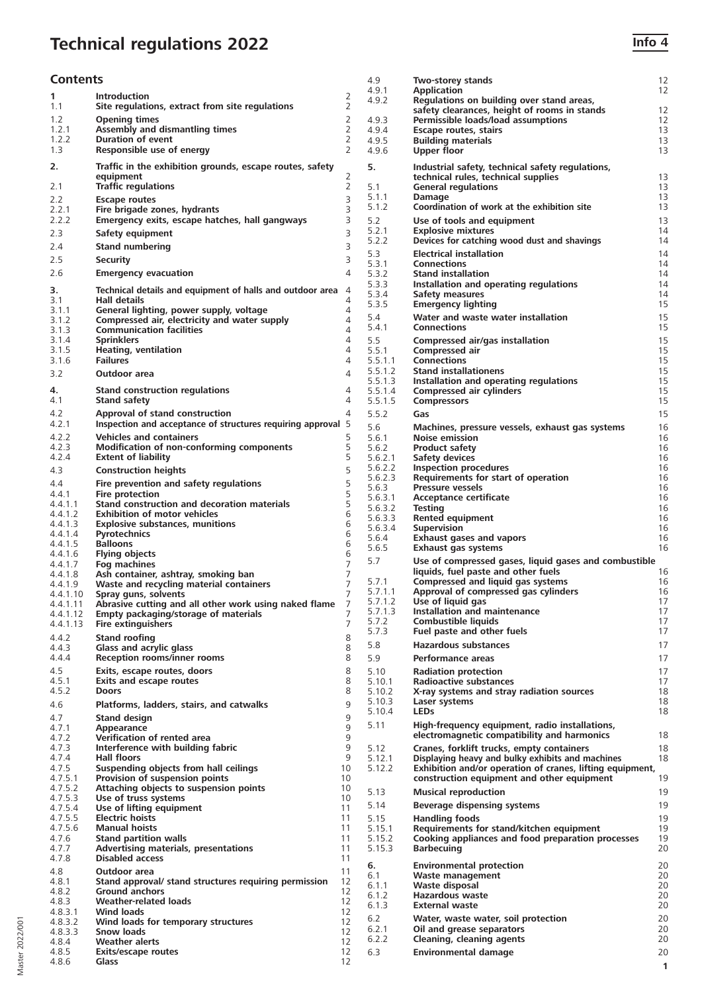# **Technical regulations 2022 Info 4**

| <b>Contents</b>    |                                                                                 |                     | 4.9                | Two-storey stands                                                                                             | 12           |
|--------------------|---------------------------------------------------------------------------------|---------------------|--------------------|---------------------------------------------------------------------------------------------------------------|--------------|
| 1                  | <b>Introduction</b>                                                             | 2                   | 4.9.1              | <b>Application</b>                                                                                            | 12           |
| 1.1                | Site regulations, extract from site regulations                                 | $\overline{2}$      | 4.9.2              | Regulations on building over stand areas,<br>safety clearances, height of rooms in stands                     | 12           |
| 1.2                | <b>Opening times</b>                                                            | 2                   | 4.9.3              | Permissible loads/load assumptions                                                                            | 12           |
| 1.2.1              | Assembly and dismantling times                                                  | 2                   | 4.9.4              | Escape routes, stairs                                                                                         | 13           |
| 1.2.2              | <b>Duration of event</b>                                                        | 2                   | 4.9.5              | <b>Building materials</b>                                                                                     | 13           |
| 1.3                | Responsible use of energy                                                       | 2                   | 4.9.6              | <b>Upper floor</b>                                                                                            | 13           |
| 2.                 | Traffic in the exhibition grounds, escape routes, safety                        |                     | 5.                 | Industrial safety, technical safety regulations,                                                              |              |
|                    | equipment                                                                       | 2                   |                    | technical rules, technical supplies                                                                           | 13           |
| 2.1                | <b>Traffic regulations</b>                                                      | 2                   | 5.1                | <b>General regulations</b>                                                                                    | 13           |
| 2.2                | <b>Escape routes</b>                                                            | 3                   | 5.1.1              | Damage                                                                                                        | 13           |
| 2.2.1              | Fire brigade zones, hydrants                                                    | 3                   | 5.1.2              | Coordination of work at the exhibition site                                                                   | 13           |
| 2.2.2              | Emergency exits, escape hatches, hall gangways                                  | 3                   | 5.2                | Use of tools and equipment                                                                                    | 13           |
| 2.3                | Safety equipment                                                                | 3                   | 5.2.1              | <b>Explosive mixtures</b>                                                                                     | 14           |
| 2.4                | <b>Stand numbering</b>                                                          | 3                   | 5.2.2              | Devices for catching wood dust and shavings                                                                   | 14           |
| 2.5                | <b>Security</b>                                                                 | 3                   | 5.3                | <b>Electrical installation</b>                                                                                | 14           |
| 2.6                |                                                                                 | 4                   | 5.3.1              | <b>Connections</b>                                                                                            | 14           |
|                    | <b>Emergency evacuation</b>                                                     |                     | 5.3.2<br>5.3.3     | <b>Stand installation</b><br>Installation and operating regulations                                           | 14<br>14     |
| 3.                 | Technical details and equipment of halls and outdoor area 4                     |                     | 5.3.4              | Safety measures                                                                                               | 14           |
| 3.1                | Hall details                                                                    | 4                   | 5.3.5              | <b>Emergency lighting</b>                                                                                     | 15           |
| 3.1.1              | General lighting, power supply, voltage                                         | 4                   | 5.4                | Water and waste water installation                                                                            | 15           |
| 3.1.2<br>3.1.3     | Compressed air, electricity and water supply<br><b>Communication facilities</b> | $\overline{4}$<br>4 | 5.4.1              | <b>Connections</b>                                                                                            | 15           |
| 3.1.4              | <b>Sprinklers</b>                                                               | $\overline{4}$      | 5.5                | Compressed air/gas installation                                                                               | 15           |
| 3.1.5              | <b>Heating, ventilation</b>                                                     | $\overline{4}$      | 5.5.1              | Compressed air                                                                                                | 15           |
| 3.1.6              | <b>Failures</b>                                                                 | $\overline{4}$      | 5.5.1.1            | <b>Connections</b>                                                                                            | 15           |
| 3.2                | Outdoor area                                                                    | 4                   | 5.5.1.2            | <b>Stand installationens</b>                                                                                  | 15           |
|                    |                                                                                 |                     | 5.5.1.3            | Installation and operating regulations                                                                        | 15           |
| 4.<br>4.1          | <b>Stand construction regulations</b>                                           | 4<br>4              | 5.5.1.4<br>5.5.1.5 | Compressed air cylinders                                                                                      | 15<br>15     |
|                    | <b>Stand safety</b>                                                             |                     |                    | <b>Compressors</b>                                                                                            |              |
| 4.2                | Approval of stand construction                                                  | 4                   | 5.5.2              | Gas                                                                                                           | 15           |
| 4.2.1              | Inspection and acceptance of structures requiring approval 5                    |                     | 5.6                | Machines, pressure vessels, exhaust gas systems                                                               | 16           |
| 4.2.2              | <b>Vehicles and containers</b>                                                  | 5                   | 5.6.1              | <b>Noise emission</b>                                                                                         | 16           |
| 4.2.3<br>4.2.4     | Modification of non-conforming components<br><b>Extent of liability</b>         | 5<br>5              | 5.6.2<br>5.6.2.1   | <b>Product safety</b>                                                                                         | 16<br>16     |
|                    |                                                                                 | 5                   | 5.6.2.2            | Safety devices<br><b>Inspection procedures</b>                                                                | 16           |
| 4.3                | <b>Construction heights</b>                                                     |                     | 5.6.2.3            | Requirements for start of operation                                                                           | 16           |
| 4.4                | Fire prevention and safety regulations                                          | 5                   | 5.6.3              | <b>Pressure vessels</b>                                                                                       | 16           |
| 4.4.1              | Fire protection<br>Stand construction and decoration materials                  | 5<br>5              | 5.6.3.1            | Acceptance certificate                                                                                        | 16           |
| 4.4.1.1<br>4.4.1.2 | <b>Exhibition of motor vehicles</b>                                             | 6                   | 5.6.3.2            | <b>Testing</b>                                                                                                | 16           |
| 4.4.1.3            | <b>Explosive substances, munitions</b>                                          | 6                   | 5.6.3.3            | Rented equipment                                                                                              | 16           |
| 4.4.1.4            | <b>Pyrotechnics</b>                                                             | 6                   | 5.6.3.4<br>5.6.4   | <b>Supervision</b><br><b>Exhaust gases and vapors</b>                                                         | 16<br>16     |
| 4.4.1.5            | <b>Balloons</b>                                                                 | 6                   | 5.6.5              | Exhaust gas systems                                                                                           | 16           |
| 4.4.1.6            | <b>Flying objects</b>                                                           | 6                   | 5.7                | Use of compressed gases, liquid gases and combustible                                                         |              |
| 4.4.1.7            | Fog machines                                                                    | $\overline{7}$      |                    | liquids, fuel paste and other fuels                                                                           | 16           |
| 4.4.1.8<br>4.4.1.9 | Ash container, ashtray, smoking ban<br>Waste and recycling material containers  | 7<br>$\overline{7}$ | 5.7.1              | Compressed and liquid gas systems                                                                             | 16           |
| 4.4.1.10           | Spray guns, solvents                                                            | $\overline{7}$      | 5.7.1.1            | Approval of compressed gas cylinders                                                                          | 16           |
| 4.4.1.11           | Abrasive cutting and all other work using naked flame                           | 7                   | 5.7.1.2            | Use of liquid gas                                                                                             | 17           |
| 4.4.1.12           | Empty packaging/storage of materials                                            | 7                   | 5.7.1.3            | Installation and maintenance                                                                                  | 17           |
| 4.4.1.13           | <b>Fire extinguishers</b>                                                       | 7                   | 5.7.2              | <b>Combustible liquids</b>                                                                                    | 17<br>17     |
| 4.4.2              | <b>Stand roofing</b>                                                            | 8                   | 5.7.3              | Fuel paste and other fuels                                                                                    |              |
| 4.4.3              | Glass and acrylic glass                                                         | 8                   | 5.8                | <b>Hazardous substances</b>                                                                                   | 17           |
| 4.4.4              | <b>Reception rooms/inner rooms</b>                                              | 8                   | 5.9                | Performance areas                                                                                             | 17           |
| 4.5                | Exits, escape routes, doors                                                     | 8                   | 5.10               | <b>Radiation protection</b>                                                                                   | 17           |
| 4.5.1              | <b>Exits and escape routes</b>                                                  | 8                   | 5.10.1             | Radioactive substances                                                                                        | 17           |
| 4.5.2              | Doors                                                                           | 8                   | 5.10.2             | X-ray systems and stray radiation sources                                                                     | 18           |
| 4.6                | Platforms, ladders, stairs, and catwalks                                        | 9                   | 5.10.3<br>5.10.4   | Laser systems<br><b>LEDs</b>                                                                                  | 18<br>18     |
| 4.7                | <b>Stand design</b>                                                             | 9                   |                    | High-frequency equipment, radio installations,                                                                |              |
| 4.7.1              | Appearance                                                                      | 9                   | 5.11               |                                                                                                               |              |
| 4.7.2              | Verification of rented area                                                     | 9                   |                    | electromagnetic compatibility and harmonics                                                                   | 18           |
| 4.7.3<br>4.7.4     | Interference with building fabric                                               | 9<br>9              | 5.12               | Cranes, forklift trucks, empty containers                                                                     | 18           |
| 4.7.5              | Hall floors<br>Suspending objects from hall ceilings                            | 10                  | 5.12.1<br>5.12.2   | Displaying heavy and bulky exhibits and machines<br>Exhibition and/or operation of cranes, lifting equipment, | 18           |
| 4.7.5.1            | Provision of suspension points                                                  | 10                  |                    | construction equipment and other equipment                                                                    | 19           |
| 4.7.5.2            | Attaching objects to suspension points                                          | 10                  | 5.13               | <b>Musical reproduction</b>                                                                                   | 19           |
| 4.7.5.3            | Use of truss systems                                                            | 10                  |                    |                                                                                                               |              |
| 4.7.5.4            | Use of lifting equipment                                                        | 11                  | 5.14               | Beverage dispensing systems                                                                                   | 19           |
| 4.7.5.5            | <b>Electric hoists</b>                                                          | 11                  | 5.15               | <b>Handling foods</b>                                                                                         | 19           |
| 4.7.5.6<br>4.7.6   | <b>Manual hoists</b><br><b>Stand partition walls</b>                            | 11<br>11            | 5.15.1             | Requirements for stand/kitchen equipment                                                                      | 19           |
| 4.7.7              | Advertising materials, presentations                                            | 11                  | 5.15.2<br>5.15.3   | Cooking appliances and food preparation processes<br><b>Barbecuing</b>                                        | 19<br>20     |
| 4.7.8              | <b>Disabled access</b>                                                          | 11                  |                    |                                                                                                               |              |
| 4.8                | Outdoor area                                                                    | 11                  | 6.                 | <b>Environmental protection</b>                                                                               | 20           |
| 4.8.1              | Stand approval/ stand structures requiring permission                           | 12                  | 6.1                | Waste management                                                                                              | 20           |
| 4.8.2              | <b>Ground anchors</b>                                                           | 12                  | 6.1.1<br>6.1.2     | Waste disposal<br><b>Hazardous waste</b>                                                                      | 20           |
| 4.8.3              | <b>Weather-related loads</b>                                                    | 12                  | 6.1.3              | <b>External waste</b>                                                                                         | 20<br>20     |
| 4.8.3.1            | <b>Wind loads</b>                                                               | 12                  |                    |                                                                                                               |              |
| 4.8.3.2            | Wind loads for temporary structures                                             | 12                  | 6.2<br>6.2.1       | Water, waste water, soil protection<br>Oil and grease separators                                              | 20<br>20     |
| 4.8.3.3            | <b>Snow loads</b>                                                               | 12                  | 6.2.2              | Cleaning, cleaning agents                                                                                     | 20           |
| 4.8.4<br>4.8.5     | <b>Weather alerts</b><br><b>Exits/escape routes</b>                             | 12<br>12            | 6.3                | <b>Environmental damage</b>                                                                                   | 20           |
| 4.8.6              | Glass                                                                           | 12                  |                    |                                                                                                               | $\mathbf{1}$ |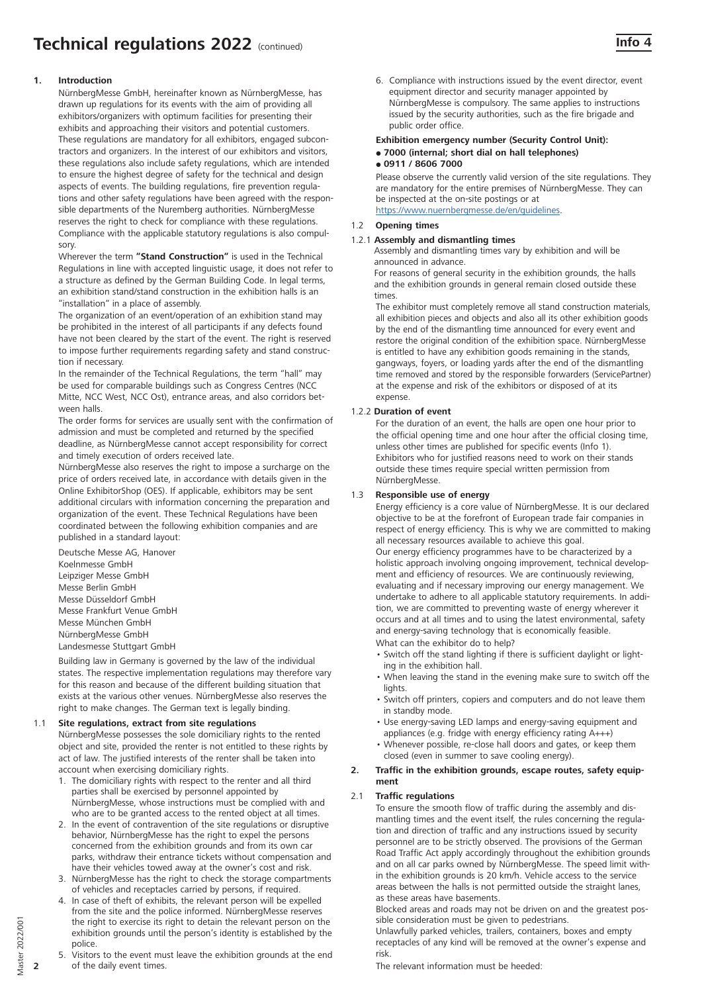# **1. Introduction**

NürnbergMesse GmbH, hereinafter known as NürnbergMesse, has drawn up regulations for its events with the aim of providing all exhibitors/organizers with optimum facilities for presenting their exhibits and approaching their visitors and potential customers. These regulations are mandatory for all exhibitors, engaged subcontractors and organizers. In the interest of our exhibitors and visitors, these regulations also include safety regulations, which are intended to ensure the highest degree of safety for the technical and design aspects of events. The building regulations, fire prevention regulations and other safety regulations have been agreed with the responsible departments of the Nuremberg authorities. NürnbergMesse reserves the right to check for compliance with these regulations. Compliance with the applicable statutory regulations is also compulsory.

Wherever the term **"Stand Construction"** is used in the Technical Regulations in line with accepted linguistic usage, it does not refer to a structure as defined by the German Building Code. In legal terms, an exhibition stand/stand construction in the exhibition halls is an "installation" in a place of assembly.

The organization of an event/operation of an exhibition stand may be prohibited in the interest of all participants if any defects found have not been cleared by the start of the event. The right is reserved to impose further requirements regarding safety and stand construction if necessary.

In the remainder of the Technical Regulations, the term "hall" may be used for comparable buildings such as Congress Centres (NCC Mitte, NCC West, NCC Ost), entrance areas, and also corridors between halls.

The order forms for services are usually sent with the confirmation of admission and must be completed and returned by the specified deadline, as NürnbergMesse cannot accept responsibility for correct and timely execution of orders received late.

NürnbergMesse also reserves the right to impose a surcharge on the price of orders received late, in accordance with details given in the Online ExhibitorShop (OES). If applicable, exhibitors may be sent additional circulars with information concerning the preparation and organization of the event. These Technical Regulations have been coordinated between the following exhibition companies and are published in a standard layout:

Deutsche Messe AG, Hanover Koelnmesse GmbH Leipziger Messe GmbH Messe Berlin GmbH Messe Düsseldorf GmbH Messe Frankfurt Venue GmbH Messe München GmbH NürnbergMesse GmbH Landesmesse Stuttgart GmbH

Building law in Germany is governed by the law of the individual states. The respective implementation regulations may therefore vary for this reason and because of the different building situation that exists at the various other venues. NürnbergMesse also reserves the right to make changes. The German text is legally binding.

# 1.1 **Site regulations, extract from site regulations**

NürnbergMesse possesses the sole domiciliary rights to the rented object and site, provided the renter is not entitled to these rights by act of law. The justified interests of the renter shall be taken into account when exercising domiciliary rights.

- 1. The domiciliary rights with respect to the renter and all third parties shall be exercised by personnel appointed by NürnbergMesse, whose instructions must be complied with and who are to be granted access to the rented object at all times
- 2. In the event of contravention of the site regulations or disruptive behavior, NürnbergMesse has the right to expel the persons concerned from the exhibition grounds and from its own car parks, withdraw their entrance tickets without compensation and have their vehicles towed away at the owner's cost and risk.
- 3. NürnbergMesse has the right to check the storage compartments of vehicles and receptacles carried by persons, if required.
- 4. In case of theft of exhibits, the relevant person will be expelled from the site and the police informed. NürnbergMesse reserves the right to exercise its right to detain the relevant person on the exhibition grounds until the person's identity is established by the police.
- 5. Visitors to the event must leave the exhibition grounds at the end of the daily event times.

6. Compliance with instructions issued by the event director, event equipment director and security manager appointed by NürnbergMesse is compulsory. The same applies to instructions issued by the security authorities, such as the fire brigade and public order office.

#### **Exhibition emergency number (Security Control Unit):**  - **7000 (internal; short dial on hall telephones)**

#### - **0911 / 8606 7000**

Please observe the currently valid version of the site regulations. They are mandatory for the entire premises of NürnbergMesse. They can be inspected at the on-site postings or at https://www.nuernbergmesse.de/en/guidelines.

1.2 **Opening times**

# 1.2.1 **Assembly and dismantling times**

Assembly and dismantling times vary by exhibition and will be announced in advance.

For reasons of general security in the exhibition grounds, the halls and the exhibition grounds in general remain closed outside these times.

The exhibitor must completely remove all stand construction materials, all exhibition pieces and objects and also all its other exhibition goods by the end of the dismantling time announced for every event and restore the original condition of the exhibition space. NürnbergMesse is entitled to have any exhibition goods remaining in the stands, gangways, foyers, or loading yards after the end of the dismantling time removed and stored by the responsible forwarders (ServicePartner) at the expense and risk of the exhibitors or disposed of at its expense.

#### 1.2.2 **Duration of event**

For the duration of an event, the halls are open one hour prior to the official opening time and one hour after the official closing time, unless other times are published for specific events (Info 1). Exhibitors who for justified reasons need to work on their stands outside these times require special written permission from NürnbergMesse.

# 1.3 **Responsible use of energy**

Energy efficiency is a core value of NürnbergMesse. It is our declared objective to be at the forefront of European trade fair companies in respect of energy efficiency. This is why we are committed to making all necessary resources available to achieve this goal. Our energy efficiency programmes have to be characterized by a holistic approach involving ongoing improvement, technical development and efficiency of resources. We are continuously reviewing, evaluating and if necessary improving our energy management. We undertake to adhere to all applicable statutory requirements. In addition, we are committed to preventing waste of energy wherever it occurs and at all times and to using the latest environmental, safety and energy-saving technology that is economically feasible. What can the exhibitor do to help?

- Switch off the stand lighting if there is sufficient daylight or lighting in the exhibition hall.
- When leaving the stand in the evening make sure to switch off the lights.
- Switch off printers, copiers and computers and do not leave them in standby mode.
- Use energy-saving LED lamps and energy-saving equipment and appliances (e.g. fridge with energy efficiency rating A+++)
- Whenever possible, re-close hall doors and gates, or keep them closed (even in summer to save cooling energy).

#### **2. Traffic in the exhibition grounds, escape routes, safety equipment**

# 2.1 **Traffic regulations**

To ensure the smooth flow of traffic during the assembly and dismantling times and the event itself, the rules concerning the regulation and direction of traffic and any instructions issued by security personnel are to be strictly observed. The provisions of the German Road Traffic Act apply accordingly throughout the exhibition grounds and on all car parks owned by NürnbergMesse. The speed limit within the exhibition grounds is 20 km/h. Vehicle access to the service areas between the halls is not permitted outside the straight lanes, as these areas have basements.

Blocked areas and roads may not be driven on and the greatest possible consideration must be given to pedestrians.

Unlawfully parked vehicles, trailers, containers, boxes and empty receptacles of any kind will be removed at the owner's expense and risk.

The relevant information must be heeded:

**2**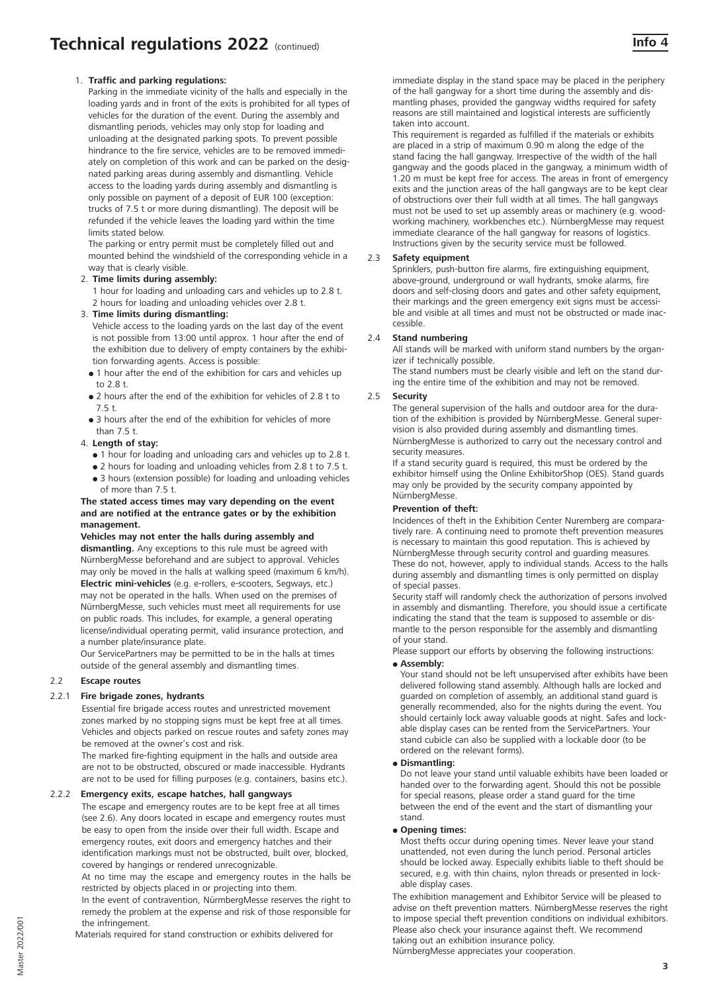Parking in the immediate vicinity of the halls and especially in the loading yards and in front of the exits is prohibited for all types of vehicles for the duration of the event. During the assembly and dismantling periods, vehicles may only stop for loading and unloading at the designated parking spots. To prevent possible hindrance to the fire service, vehicles are to be removed immediately on completion of this work and can be parked on the designated parking areas during assembly and dismantling. Vehicle access to the loading yards during assembly and dismantling is only possible on payment of a deposit of EUR 100 (exception: trucks of 7.5 t or more during dismantling). The deposit will be refunded if the vehicle leaves the loading yard within the time limits stated below.

The parking or entry permit must be completely filled out and mounted behind the windshield of the corresponding vehicle in a way that is clearly visible.

# 2. **Time limits during assembly:**

1 hour for loading and unloading cars and vehicles up to 2.8 t. 2 hours for loading and unloading vehicles over 2.8 t.

#### 3. **Time limits during dismantling:**

Vehicle access to the loading yards on the last day of the event is not possible from 13:00 until approx. 1 hour after the end of the exhibition due to delivery of empty containers by the exhibition forwarding agents. Access is possible:

- 1 hour after the end of the exhibition for cars and vehicles up to 2.8 t.
- 2 hours after the end of the exhibition for vehicles of 2.8 t to 7.5 t.
- 3 hours after the end of the exhibition for vehicles of more than 7.5 t.

### 4. **Length of stay:**

- 1 hour for loading and unloading cars and vehicles up to 2.8 t.
- 2 hours for loading and unloading vehicles from 2.8 t to 7.5 t. • 3 hours (extension possible) for loading and unloading vehicles
- of more than 7.5 t. **The stated access times may vary depending on the event and are notified at the entrance gates or by the exhibition**

#### **management. Vehicles may not enter the halls during assembly and dismantling.** Any exceptions to this rule must be agreed with NürnbergMesse beforehand and are subject to approval. Vehicles may only be moved in the halls at walking speed (maximum 6 km/h). **Electric mini-vehicles** (e.g. e-rollers, e-scooters, Segways, etc.) may not be operated in the halls. When used on the premises of NürnbergMesse, such vehicles must meet all requirements for use on public roads. This includes, for example, a general operating

license/individual operating permit, valid insurance protection, and a number plate/insurance plate. Our ServicePartners may be permitted to be in the halls at times

outside of the general assembly and dismantling times.

# 2.2 **Escape routes**

# 2.2.1 **Fire brigade zones, hydrants**

Essential fire brigade access routes and unrestricted movement zones marked by no stopping signs must be kept free at all times. Vehicles and objects parked on rescue routes and safety zones may be removed at the owner's cost and risk.

The marked fire-fighting equipment in the halls and outside area are not to be obstructed, obscured or made inaccessible. Hydrants are not to be used for filling purposes (e.g. containers, basins etc.).

# 2.2.2 **Emergency exits, escape hatches, hall gangways**

The escape and emergency routes are to be kept free at all times (see 2.6). Any doors located in escape and emergency routes must be easy to open from the inside over their full width. Escape and emergency routes, exit doors and emergency hatches and their identification markings must not be obstructed, built over, blocked, covered by hangings or rendered unrecognizable.

At no time may the escape and emergency routes in the halls be restricted by objects placed in or projecting into them.

In the event of contravention, NürmbergMesse reserves the right to remedy the problem at the expense and risk of those responsible for the infringement.

Materials required for stand construction or exhibits delivered for

immediate display in the stand space may be placed in the periphery of the hall gangway for a short time during the assembly and dismantling phases, provided the gangway widths required for safety reasons are still maintained and logistical interests are sufficiently taken into account.

This requirement is regarded as fulfilled if the materials or exhibits are placed in a strip of maximum 0.90 m along the edge of the stand facing the hall gangway. Irrespective of the width of the hall gangway and the goods placed in the gangway, a minimum width of 1.20 m must be kept free for access. The areas in front of emergency exits and the junction areas of the hall gangways are to be kept clear of obstructions over their full width at all times. The hall gangways must not be used to set up assembly areas or machinery (e.g. woodworking machinery, workbenches etc.). NürnbergMesse may request immediate clearance of the hall gangway for reasons of logistics. Instructions given by the security service must be followed.

#### 2.3 **Safety equipment**

Sprinklers, push-button fire alarms, fire extinguishing equipment, above-ground, underground or wall hydrants, smoke alarms, fire doors and self-closing doors and gates and other safety equipment, their markings and the green emergency exit signs must be accessible and visible at all times and must not be obstructed or made inaccessible.

#### 2.4 **Stand numbering**

All stands will be marked with uniform stand numbers by the organizer if technically possible.

The stand numbers must be clearly visible and left on the stand during the entire time of the exhibition and may not be removed.

#### 2.5 **Security**

The general supervision of the halls and outdoor area for the duration of the exhibition is provided by NürnbergMesse. General supervision is also provided during assembly and dismantling times. NürnbergMesse is authorized to carry out the necessary control and security measures.

If a stand security guard is required, this must be ordered by the exhibitor himself using the Online ExhibitorShop (OES). Stand guards may only be provided by the security company appointed by NürnbergMesse.

#### **Prevention of theft:**

Incidences of theft in the Exhibition Center Nuremberg are comparatively rare. A continuing need to promote theft prevention measures is necessary to maintain this good reputation. This is achieved by NürnbergMesse through security control and guarding measures. These do not, however, apply to individual stands. Access to the halls during assembly and dismantling times is only permitted on display of special passes.

Security staff will randomly check the authorization of persons involved in assembly and dismantling. Therefore, you should issue a certificate indicating the stand that the team is supposed to assemble or dismantle to the person responsible for the assembly and dismantling of your stand.

Please support our efforts by observing the following instructions:

#### - **Assembly:**

Your stand should not be left unsupervised after exhibits have been delivered following stand assembly. Although halls are locked and guarded on completion of assembly, an additional stand guard is generally recommended, also for the nights during the event. You should certainly lock away valuable goods at night. Safes and lockable display cases can be rented from the ServicePartners. Your stand cubicle can also be supplied with a lockable door (to be ordered on the relevant forms).

#### - **Dismantling:**

Do not leave your stand until valuable exhibits have been loaded or handed over to the forwarding agent. Should this not be possible for special reasons, please order a stand guard for the time between the end of the event and the start of dismantling your stand.

- **Opening times:** 

Most thefts occur during opening times. Never leave your stand unattended, not even during the lunch period. Personal articles should be locked away. Especially exhibits liable to theft should be secured, e.g. with thin chains, nylon threads or presented in lockable display cases.

The exhibition management and Exhibitor Service will be pleased to advise on theft prevention matters. NürnbergMesse reserves the right to impose special theft prevention conditions on individual exhibitors. Please also check your insurance against theft. We recommend taking out an exhibition insurance policy.

NürnbergMesse appreciates your cooperation.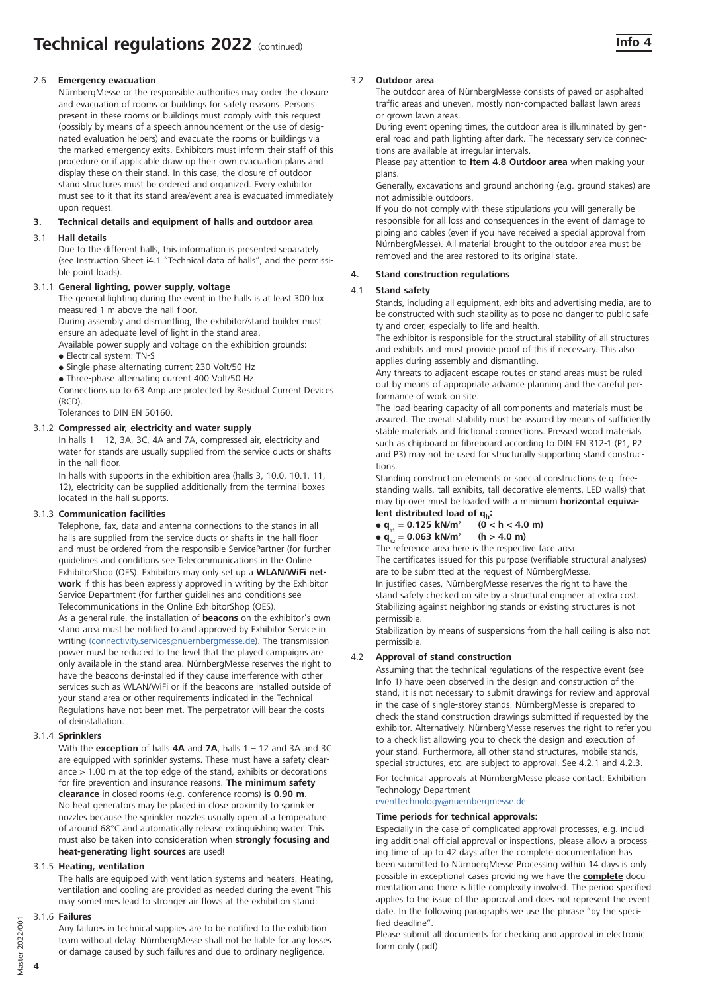# 2.6 **Emergency evacuation**

NürnbergMesse or the responsible authorities may order the closure and evacuation of rooms or buildings for safety reasons. Persons present in these rooms or buildings must comply with this request (possibly by means of a speech announcement or the use of designated evaluation helpers) and evacuate the rooms or buildings via the marked emergency exits. Exhibitors must inform their staff of this procedure or if applicable draw up their own evacuation plans and display these on their stand. In this case, the closure of outdoor stand structures must be ordered and organized. Every exhibitor must see to it that its stand area/event area is evacuated immediately upon request.

#### **3. Technical details and equipment of halls and outdoor area**

#### 3.1 **Hall details**

Due to the different halls, this information is presented separately (see Instruction Sheet i4.1 "Technical data of halls", and the permissible point loads).

#### 3.1.1 **General lighting, power supply, voltage**

The general lighting during the event in the halls is at least 300 lux measured 1 m above the hall floor.

During assembly and dismantling, the exhibitor/stand builder must ensure an adequate level of light in the stand area.

Available power supply and voltage on the exhibition grounds:

- Electrical system: TN-S
- Single-phase alternating current 230 Volt/50 Hz
- Three-phase alternating current 400 Volt/50 Hz

Connections up to 63 Amp are protected by Residual Current Devices (RCD).

Tolerances to DIN EN 50160.

#### 3.1.2 **Compressed air, electricity and water supply**

In halls 1 – 12, 3A, 3C, 4A and 7A, compressed air, electricity and water for stands are usually supplied from the service ducts or shafts in the hall floor.

In halls with supports in the exhibition area (halls 3, 10.0, 10.1, 11, 12), electricity can be supplied additionally from the terminal boxes located in the hall supports.

#### 3.1.3 **Communication facilities**

Telephone, fax, data and antenna connections to the stands in all halls are supplied from the service ducts or shafts in the hall floor and must be ordered from the responsible ServicePartner (for further guidelines and conditions see Telecommunications in the Online ExhibitorShop (OES). Exhibitors may only set up a **WLAN/WiFi network** if this has been expressly approved in writing by the Exhibitor Service Department (for further guidelines and conditions see Telecommunications in the Online ExhibitorShop (OES). As a general rule, the installation of **beacons** on the exhibitor's own stand area must be notified to and approved by Exhibitor Service in writing (connectivity.services@nuernbergmesse.de). The transmission power must be reduced to the level that the played campaigns are only available in the stand area. NürnbergMesse reserves the right to have the beacons de-installed if they cause interference with other services such as WLAN/WiFi or if the beacons are installed outside of your stand area or other requirements indicated in the Technical Regulations have not been met. The perpetrator will bear the costs of deinstallation.

#### 3.1.4 **Sprinklers**

With the **exception** of halls **4A** and **7A**, halls 1 – 12 and 3A and 3C are equipped with sprinkler systems. These must have a safety clearance > 1.00 m at the top edge of the stand, exhibits or decorations for fire prevention and insurance reasons. **The minimum safety clearance** in closed rooms (e.g. conference rooms) **is 0.90 m**. No heat generators may be placed in close proximity to sprinkler nozzles because the sprinkler nozzles usually open at a temperature of around 68°C and automatically release extinguishing water. This must also be taken into consideration when **strongly focusing and heat-generating light sources** are used!

#### 3.1.5 **Heating, ventilation**

The halls are equipped with ventilation systems and heaters. Heating, ventilation and cooling are provided as needed during the event This may sometimes lead to stronger air flows at the exhibition stand.

#### 3.1.6 **Failures**

Any failures in technical supplies are to be notified to the exhibition team without delay. NürnbergMesse shall not be liable for any losses or damage caused by such failures and due to ordinary negligence.

#### 3.2 **Outdoor area**

The outdoor area of NürnbergMesse consists of paved or asphalted traffic areas and uneven, mostly non-compacted ballast lawn areas or grown lawn areas.

During event opening times, the outdoor area is illuminated by general road and path lighting after dark. The necessary service connections are available at irregular intervals.

Please pay attention to **Item 4.8 Outdoor area** when making your plans.

Generally, excavations and ground anchoring (e.g. ground stakes) are not admissible outdoors.

If you do not comply with these stipulations you will generally be responsible for all loss and consequences in the event of damage to piping and cables (even if you have received a special approval from NürnbergMesse). All material brought to the outdoor area must be removed and the area restored to its original state.

#### **4. Stand construction regulations**

#### 4.1 **Stand safety**

Stands, including all equipment, exhibits and advertising media, are to be constructed with such stability as to pose no danger to public safety and order, especially to life and health.

The exhibitor is responsible for the structural stability of all structures and exhibits and must provide proof of this if necessary. This also applies during assembly and dismantling.

Any threats to adjacent escape routes or stand areas must be ruled out by means of appropriate advance planning and the careful performance of work on site.

The load-bearing capacity of all components and materials must be assured. The overall stability must be assured by means of sufficiently stable materials and frictional connections. Pressed wood materials such as chipboard or fibreboard according to DIN EN 312-1 (P1, P2 and P3) may not be used for structurally supporting stand constructions.

Standing construction elements or special constructions (e.g. freestanding walls, tall exhibits, tall decorative elements, LED walls) that may tip over must be loaded with a minimum **horizontal equiva-**

# **lent distributed load of**  $q_h$ **:**<br>  $\bullet$   $q_u = 0.125$  kN/m<sup>2</sup> (0 < h < 4.0 m)  $\bullet$  q<sub>h1</sub> = 0.125 kN/m<sup>2</sup> (0 < h < 4.0 m)

# •  $q_{h2} = 0.063$  kN/m<sup>2</sup> (h > 4.0 m)

The reference area here is the respective face area. The certificates issued for this purpose (verifiable structural analyses) are to be submitted at the request of NürnbergMesse.

In justified cases, NürnbergMesse reserves the right to have the stand safety checked on site by a structural engineer at extra cost. Stabilizing against neighboring stands or existing structures is not permissible.

Stabilization by means of suspensions from the hall ceiling is also not permissible.

#### 4.2 **Approval of stand construction**

Assuming that the technical regulations of the respective event (see Info 1) have been observed in the design and construction of the stand, it is not necessary to submit drawings for review and approval in the case of single-storey stands. NürnbergMesse is prepared to check the stand construction drawings submitted if requested by the exhibitor. Alternatively, NürnbergMesse reserves the right to refer you to a check list allowing you to check the design and execution of your stand. Furthermore, all other stand structures, mobile stands, special structures, etc. are subject to approval. See 4.2.1 and 4.2.3.

For technical approvals at NürnbergMesse please contact: Exhibition Technology Department

#### eventtechnology@nuernbergmesse.de

#### **Time periods for technical approvals:**

Especially in the case of complicated approval processes, e.g. including additional official approval or inspections, please allow a processing time of up to 42 days after the complete documentation has been submitted to NürnbergMesse Processing within 14 days is only possible in exceptional cases providing we have the **complete** documentation and there is little complexity involved. The period specified applies to the issue of the approval and does not represent the event date. In the following paragraphs we use the phrase "by the specified deadline".

Please submit all documents for checking and approval in electronic form only (.pdf).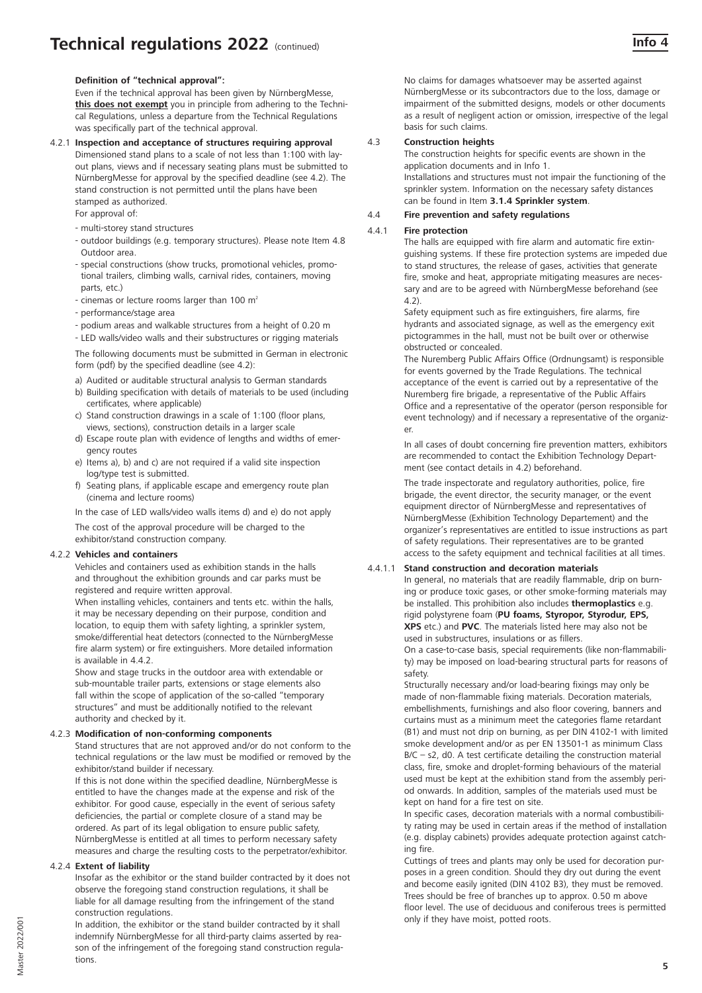# **Definition of "technical approval":**

Even if the technical approval has been given by NürnbergMesse, **this does not exempt** you in principle from adhering to the Technical Regulations, unless a departure from the Technical Regulations was specifically part of the technical approval.

#### 4.2.1 **Inspection and acceptance of structures requiring approval**  Dimensioned stand plans to a scale of not less than 1:100 with layout plans, views and if necessary seating plans must be submitted to NürnbergMesse for approval by the specified deadline (see 4.2). The stand construction is not permitted until the plans have been

stamped as authorized.

- For approval of:
- multi-storey stand structures
- outdoor buildings (e.g. temporary structures). Please note Item 4.8 Outdoor area.
- special constructions (show trucks, promotional vehicles, promotional trailers, climbing walls, carnival rides, containers, moving parts, etc.)
- cinemas or lecture rooms larger than 100  $m<sup>2</sup>$
- performance/stage area
- podium areas and walkable structures from a height of 0.20 m
- LED walls/video walls and their substructures or rigging materials

The following documents must be submitted in German in electronic form (pdf) by the specified deadline (see 4.2):

- a) Audited or auditable structural analysis to German standards
- b) Building specification with details of materials to be used (including certificates, where applicable)
- c) Stand construction drawings in a scale of 1:100 (floor plans, views, sections), construction details in a larger scale
- d) Escape route plan with evidence of lengths and widths of emergency routes
- e) Items a), b) and c) are not required if a valid site inspection log/type test is submitted.
- f) Seating plans, if applicable escape and emergency route plan (cinema and lecture rooms)

In the case of LED walls/video walls items d) and e) do not apply The cost of the approval procedure will be charged to the exhibitor/stand construction company.

# 4.2.2 **Vehicles and containers**

Vehicles and containers used as exhibition stands in the halls and throughout the exhibition grounds and car parks must be registered and require written approval.

When installing vehicles, containers and tents etc. within the halls, it may be necessary depending on their purpose, condition and location, to equip them with safety lighting, a sprinkler system, smoke/differential heat detectors (connected to the NürnbergMesse fire alarm system) or fire extinguishers. More detailed information is available in 4.4.2.

Show and stage trucks in the outdoor area with extendable or sub-mountable trailer parts, extensions or stage elements also fall within the scope of application of the so-called "temporary structures" and must be additionally notified to the relevant authority and checked by it.

# 4.2.3 **Modification of non-conforming components**

Stand structures that are not approved and/or do not conform to the technical regulations or the law must be modified or removed by the exhibitor/stand builder if necessary.

If this is not done within the specified deadline, NürnbergMesse is entitled to have the changes made at the expense and risk of the exhibitor. For good cause, especially in the event of serious safety deficiencies, the partial or complete closure of a stand may be ordered. As part of its legal obligation to ensure public safety, NürnbergMesse is entitled at all times to perform necessary safety measures and charge the resulting costs to the perpetrator/exhibitor.

#### 4.2.4 **Extent of liability**

Insofar as the exhibitor or the stand builder contracted by it does not observe the foregoing stand construction regulations, it shall be liable for all damage resulting from the infringement of the stand construction regulations.

In addition, the exhibitor or the stand builder contracted by it shall indemnify NürnbergMesse for all third-party claims asserted by reason of the infringement of the foregoing stand construction regulations.

No claims for damages whatsoever may be asserted against NürnbergMesse or its subcontractors due to the loss, damage or impairment of the submitted designs, models or other documents as a result of negligent action or omission, irrespective of the legal basis for such claims.

# 4.3 **Construction heights**

The construction heights for specific events are shown in the application documents and in Info 1.

Installations and structures must not impair the functioning of the sprinkler system. Information on the necessary safety distances can be found in Item **3.1.4 Sprinkler system**.

# 4.4 **Fire prevention and safety regulations**

# 4.4.1 **Fire protection**

The halls are equipped with fire alarm and automatic fire extinguishing systems. If these fire protection systems are impeded due to stand structures, the release of gases, activities that generate fire, smoke and heat, appropriate mitigating measures are necessary and are to be agreed with NürnbergMesse beforehand (see 4.2).

Safety equipment such as fire extinguishers, fire alarms, fire hydrants and associated signage, as well as the emergency exit pictogrammes in the hall, must not be built over or otherwise obstructed or concealed.

The Nuremberg Public Affairs Office (Ordnungsamt) is responsible for events governed by the Trade Regulations. The technical acceptance of the event is carried out by a representative of the Nuremberg fire brigade, a representative of the Public Affairs Office and a representative of the operator (person responsible for event technology) and if necessary a representative of the organizer.

In all cases of doubt concerning fire prevention matters, exhibitors are recommended to contact the Exhibition Technology Department (see contact details in 4.2) beforehand.

The trade inspectorate and regulatory authorities, police, fire brigade, the event director, the security manager, or the event equipment director of NürnbergMesse and representatives of NürnbergMesse (Exhibition Technology Departement) and the organizer's representatives are entitled to issue instructions as part of safety regulations. Their representatives are to be granted access to the safety equipment and technical facilities at all times.

# 4.4.1.1 **Stand construction and decoration materials**

In general, no materials that are readily flammable, drip on burning or produce toxic gases, or other smoke-forming materials may be installed. This prohibition also includes **thermoplastics** e.g. rigid polystyrene foam (**PU foams, Styropor, Styrodur, EPS, XPS** etc.) and **PVC**. The materials listed here may also not be used in substructures, insulations or as fillers.

On a case-to-case basis, special requirements (like non-flammability) may be imposed on load-bearing structural parts for reasons of safety.

Structurally necessary and/or load-bearing fixings may only be made of non-flammable fixing materials. Decoration materials, embellishments, furnishings and also floor covering, banners and curtains must as a minimum meet the categories flame retardant (B1) and must not drip on burning, as per DIN 4102-1 with limited smoke development and/or as per EN 13501-1 as minimum Class  $B/C - s2$ , d0. A test certificate detailing the construction material class, fire, smoke and droplet-forming behaviours of the material used must be kept at the exhibition stand from the assembly period onwards. In addition, samples of the materials used must be kept on hand for a fire test on site.

In specific cases, decoration materials with a normal combustibility rating may be used in certain areas if the method of installation (e.g. display cabinets) provides adequate protection against catching fire.

Cuttings of trees and plants may only be used for decoration purposes in a green condition. Should they dry out during the event and become easily ignited (DIN 4102 B3), they must be removed. Trees should be free of branches up to approx. 0.50 m above floor level. The use of deciduous and coniferous trees is permitted only if they have moist, potted roots.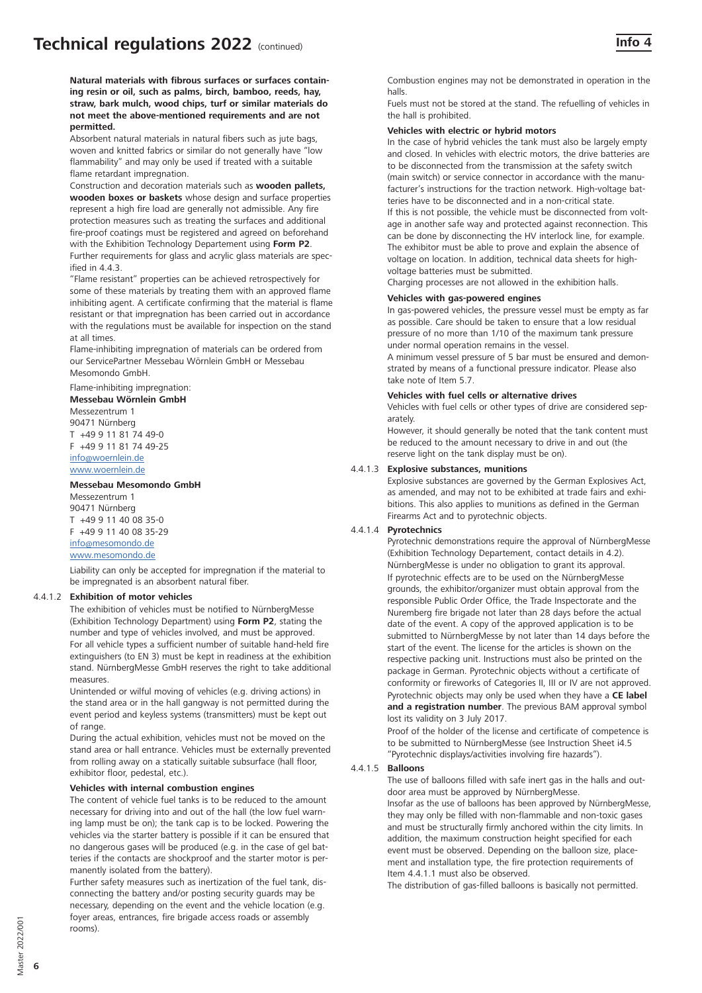**Natural materials with fibrous surfaces or surfaces containing resin or oil, such as palms, birch, bamboo, reeds, hay, straw, bark mulch, wood chips, turf or similar materials do not meet the above-mentioned requirements and are not permitted.**

Absorbent natural materials in natural fibers such as jute bags, woven and knitted fabrics or similar do not generally have "low flammability" and may only be used if treated with a suitable flame retardant impregnation.

Construction and decoration materials such as **wooden pallets, wooden boxes or baskets** whose design and surface properties represent a high fire load are generally not admissible. Any fire protection measures such as treating the surfaces and additional fire-proof coatings must be registered and agreed on beforehand with the Exhibition Technology Departement using **Form P2**. Further requirements for glass and acrylic glass materials are specified in 443

"Flame resistant" properties can be achieved retrospectively for some of these materials by treating them with an approved flame inhibiting agent. A certificate confirming that the material is flame resistant or that impregnation has been carried out in accordance with the regulations must be available for inspection on the stand at all times.

Flame-inhibiting impregnation of materials can be ordered from our ServicePartner Messebau Wörnlein GmbH or Messebau Mesomondo GmbH.

Flame-inhibiting impregnation:

**Messebau Wörnlein GmbH**

Messezentrum 1 90471 Nürnberg T +49 9 11 81 74 49-0 F +49 9 11 81 74 49-25 info@woernlein.de www.woernlein.de

# **Messebau Mesomondo GmbH**

Messezentrum 1 90471 Nürnberg T +49 9 11 40 08 35-0 F +49 9 11 40 08 35-29 info@mesomondo.de www.mesomondo.de

Liability can only be accepted for impregnation if the material to be impregnated is an absorbent natural fiber.

#### 4.4.1.2 **Exhibition of motor vehicles**

The exhibition of vehicles must be notified to NürnbergMesse (Exhibition Technology Department) using **Form P2**, stating the number and type of vehicles involved, and must be approved. For all vehicle types a sufficient number of suitable hand-held fire extinguishers (to EN 3) must be kept in readiness at the exhibition stand. NürnbergMesse GmbH reserves the right to take additional measures.

Unintended or wilful moving of vehicles (e.g. driving actions) in the stand area or in the hall gangway is not permitted during the event period and keyless systems (transmitters) must be kept out of range.

During the actual exhibition, vehicles must not be moved on the stand area or hall entrance. Vehicles must be externally prevented from rolling away on a statically suitable subsurface (hall floor, exhibitor floor, pedestal, etc.).

# **Vehicles with internal combustion engines**

The content of vehicle fuel tanks is to be reduced to the amount necessary for driving into and out of the hall (the low fuel warning lamp must be on); the tank cap is to be locked. Powering the vehicles via the starter battery is possible if it can be ensured that no dangerous gases will be produced (e.g. in the case of gel batteries if the contacts are shockproof and the starter motor is permanently isolated from the battery).

Further safety measures such as inertization of the fuel tank, disconnecting the battery and/or posting security guards may be necessary, depending on the event and the vehicle location (e.g. foyer areas, entrances, fire brigade access roads or assembly rooms).

Combustion engines may not be demonstrated in operation in the halls.

Fuels must not be stored at the stand. The refuelling of vehicles in the hall is prohibited.

#### **Vehicles with electric or hybrid motors**

In the case of hybrid vehicles the tank must also be largely empty and closed. In vehicles with electric motors, the drive batteries are to be disconnected from the transmission at the safety switch (main switch) or service connector in accordance with the manufacturer's instructions for the traction network. High-voltage batteries have to be disconnected and in a non-critical state.

If this is not possible, the vehicle must be disconnected from voltage in another safe way and protected against reconnection. This can be done by disconnecting the HV interlock line, for example. The exhibitor must be able to prove and explain the absence of voltage on location. In addition, technical data sheets for highvoltage batteries must be submitted.

Charging processes are not allowed in the exhibition halls.

#### **Vehicles with gas-powered engines**

In gas-powered vehicles, the pressure vessel must be empty as far as possible. Care should be taken to ensure that a low residual pressure of no more than 1/10 of the maximum tank pressure under normal operation remains in the vessel.

A minimum vessel pressure of 5 bar must be ensured and demonstrated by means of a functional pressure indicator. Please also take note of Item 5.7.

#### **Vehicles with fuel cells or alternative drives**

Vehicles with fuel cells or other types of drive are considered separately.

However, it should generally be noted that the tank content must be reduced to the amount necessary to drive in and out (the reserve light on the tank display must be on).

#### 4.4.1.3 **Explosive substances, munitions**

Explosive substances are governed by the German Explosives Act, as amended, and may not to be exhibited at trade fairs and exhibitions. This also applies to munitions as defined in the German Firearms Act and to pyrotechnic objects.

#### 4.4.1.4 **Pyrotechnics**

Pyrotechnic demonstrations require the approval of NürnbergMesse (Exhibition Technology Departement, contact details in 4.2). NürnbergMesse is under no obligation to grant its approval. If pyrotechnic effects are to be used on the NürnbergMesse grounds, the exhibitor/organizer must obtain approval from the responsible Public Order Office, the Trade Inspectorate and the Nuremberg fire brigade not later than 28 days before the actual date of the event. A copy of the approved application is to be submitted to NürnbergMesse by not later than 14 days before the start of the event. The license for the articles is shown on the respective packing unit. Instructions must also be printed on the package in German. Pyrotechnic objects without a certificate of conformity or fireworks of Categories II, III or IV are not approved. Pyrotechnic objects may only be used when they have a **CE label and a registration number**. The previous BAM approval symbol lost its validity on 3 July 2017.

Proof of the holder of the license and certificate of competence is to be submitted to NürnbergMesse (see Instruction Sheet i4.5 "Pyrotechnic displays/activities involving fire hazards").

#### 4.4.1.5 **Balloons**

The use of balloons filled with safe inert gas in the halls and outdoor area must be approved by NürnbergMesse.

Insofar as the use of balloons has been approved by NürnbergMesse, they may only be filled with non-flammable and non-toxic gases and must be structurally firmly anchored within the city limits. In addition, the maximum construction height specified for each event must be observed. Depending on the balloon size, placement and installation type, the fire protection requirements of Item 4.4.1.1 must also be observed.

The distribution of gas-filled balloons is basically not permitted.

**6**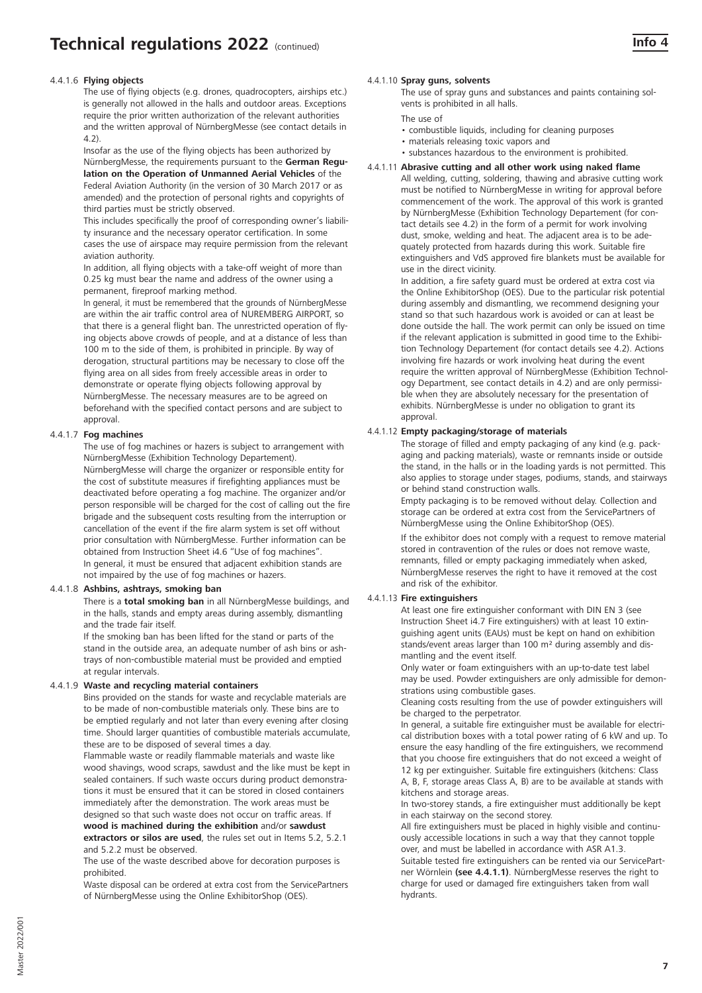# 4.4.1.6 **Flying objects**

The use of flying objects (e.g. drones, quadrocopters, airships etc.) is generally not allowed in the halls and outdoor areas. Exceptions require the prior written authorization of the relevant authorities and the written approval of NürnbergMesse (see contact details in 4.2).

Insofar as the use of the flying objects has been authorized by NürnbergMesse, the requirements pursuant to the **German Regulation on the Operation of Unmanned Aerial Vehicles** of the Federal Aviation Authority (in the version of 30 March 2017 or as amended) and the protection of personal rights and copyrights of third parties must be strictly observed.

This includes specifically the proof of corresponding owner's liability insurance and the necessary operator certification. In some cases the use of airspace may require permission from the relevant aviation authority.

In addition, all flying objects with a take-off weight of more than 0.25 kg must bear the name and address of the owner using a permanent, fireproof marking method.

In general, it must be remembered that the grounds of NürnbergMesse are within the air traffic control area of NUREMBERG AIRPORT, so that there is a general flight ban. The unrestricted operation of flying objects above crowds of people, and at a distance of less than 100 m to the side of them, is prohibited in principle. By way of derogation, structural partitions may be necessary to close off the flying area on all sides from freely accessible areas in order to demonstrate or operate flying objects following approval by NürnbergMesse. The necessary measures are to be agreed on beforehand with the specified contact persons and are subject to approval.

#### 4.4.1.7 **Fog machines**

The use of fog machines or hazers is subject to arrangement with NürnbergMesse (Exhibition Technology Departement). NürnbergMesse will charge the organizer or responsible entity for the cost of substitute measures if firefighting appliances must be deactivated before operating a fog machine. The organizer and/or person responsible will be charged for the cost of calling out the fire brigade and the subsequent costs resulting from the interruption or cancellation of the event if the fire alarm system is set off without prior consultation with NürnbergMesse. Further information can be obtained from Instruction Sheet i4.6 "Use of fog machines". In general, it must be ensured that adjacent exhibition stands are not impaired by the use of fog machines or hazers.

#### 4.4.1.8 **Ashbins, ashtrays, smoking ban**

There is a **total smoking ban** in all NürnbergMesse buildings, and in the halls, stands and empty areas during assembly, dismantling and the trade fair itself.

If the smoking ban has been lifted for the stand or parts of the stand in the outside area, an adequate number of ash bins or ashtrays of non-combustible material must be provided and emptied at regular intervals.

#### 4.4.1.9 **Waste and recycling material containers**

Bins provided on the stands for waste and recyclable materials are to be made of non-combustible materials only. These bins are to be emptied regularly and not later than every evening after closing time. Should larger quantities of combustible materials accumulate, these are to be disposed of several times a day.

Flammable waste or readily flammable materials and waste like wood shavings, wood scraps, sawdust and the like must be kept in sealed containers. If such waste occurs during product demonstrations it must be ensured that it can be stored in closed containers immediately after the demonstration. The work areas must be designed so that such waste does not occur on traffic areas. If **wood is machined during the exhibition** and/or **sawdust extractors or silos are used**, the rules set out in Items 5.2, 5.2.1

and 5.2.2 must be observed. The use of the waste described above for decoration purposes is

prohibited.

Waste disposal can be ordered at extra cost from the ServicePartners of NürnbergMesse using the Online ExhibitorShop (OES).

# **Info 4**

#### 4.4.1.10 **Spray guns, solvents**

The use of spray guns and substances and paints containing solvents is prohibited in all halls.

- The use of
- combustible liquids, including for cleaning purposes
- materials releasing toxic vapors and
- substances hazardous to the environment is prohibited.

#### 4.4.1.11 **Abrasive cutting and all other work using naked flame**

All welding, cutting, soldering, thawing and abrasive cutting work must be notified to NürnbergMesse in writing for approval before commencement of the work. The approval of this work is granted by NürnbergMesse (Exhibition Technology Departement (for contact details see 4.2) in the form of a permit for work involving dust, smoke, welding and heat. The adjacent area is to be adequately protected from hazards during this work. Suitable fire extinguishers and VdS approved fire blankets must be available for use in the direct vicinity.

In addition, a fire safety guard must be ordered at extra cost via the Online ExhibitorShop (OES). Due to the particular risk potential during assembly and dismantling, we recommend designing your stand so that such hazardous work is avoided or can at least be done outside the hall. The work permit can only be issued on time if the relevant application is submitted in good time to the Exhibition Technology Departement (for contact details see 4.2). Actions involving fire hazards or work involving heat during the event require the written approval of NürnbergMesse (Exhibition Technology Department, see contact details in 4.2) and are only permissible when they are absolutely necessary for the presentation of exhibits. NürnbergMesse is under no obligation to grant its approval.

#### 4.4.1.12 **Empty packaging/storage of materials**

The storage of filled and empty packaging of any kind (e.g. packaging and packing materials), waste or remnants inside or outside the stand, in the halls or in the loading yards is not permitted. This also applies to storage under stages, podiums, stands, and stairways or behind stand construction walls.

Empty packaging is to be removed without delay. Collection and storage can be ordered at extra cost from the ServicePartners of NürnbergMesse using the Online ExhibitorShop (OES).

If the exhibitor does not comply with a request to remove material stored in contravention of the rules or does not remove waste, remnants, filled or empty packaging immediately when asked, NürnbergMesse reserves the right to have it removed at the cost and risk of the exhibitor.

#### 4.4.1.13 **Fire extinguishers**

At least one fire extinguisher conformant with DIN EN 3 (see Instruction Sheet i4.7 Fire extinguishers) with at least 10 extinguishing agent units (EAUs) must be kept on hand on exhibition stands/event areas larger than 100 m² during assembly and dismantling and the event itself.

Only water or foam extinguishers with an up-to-date test label may be used. Powder extinguishers are only admissible for demonstrations using combustible gases.

Cleaning costs resulting from the use of powder extinguishers will be charged to the perpetrator.

In general, a suitable fire extinguisher must be available for electrical distribution boxes with a total power rating of 6 kW and up. To ensure the easy handling of the fire extinguishers, we recommend that you choose fire extinguishers that do not exceed a weight of 12 kg per extinguisher. Suitable fire extinguishers (kitchens: Class A, B, F, storage areas Class A, B) are to be available at stands with

kitchens and storage areas.

In two-storey stands, a fire extinguisher must additionally be kept in each stairway on the second storey.

All fire extinguishers must be placed in highly visible and continuously accessible locations in such a way that they cannot topple over, and must be labelled in accordance with ASR A1.3.

Suitable tested fire extinguishers can be rented via our ServicePartner Wörnlein **(see 4.4.1.1)**. NürnbergMesse reserves the right to charge for used or damaged fire extinguishers taken from wall hydrants.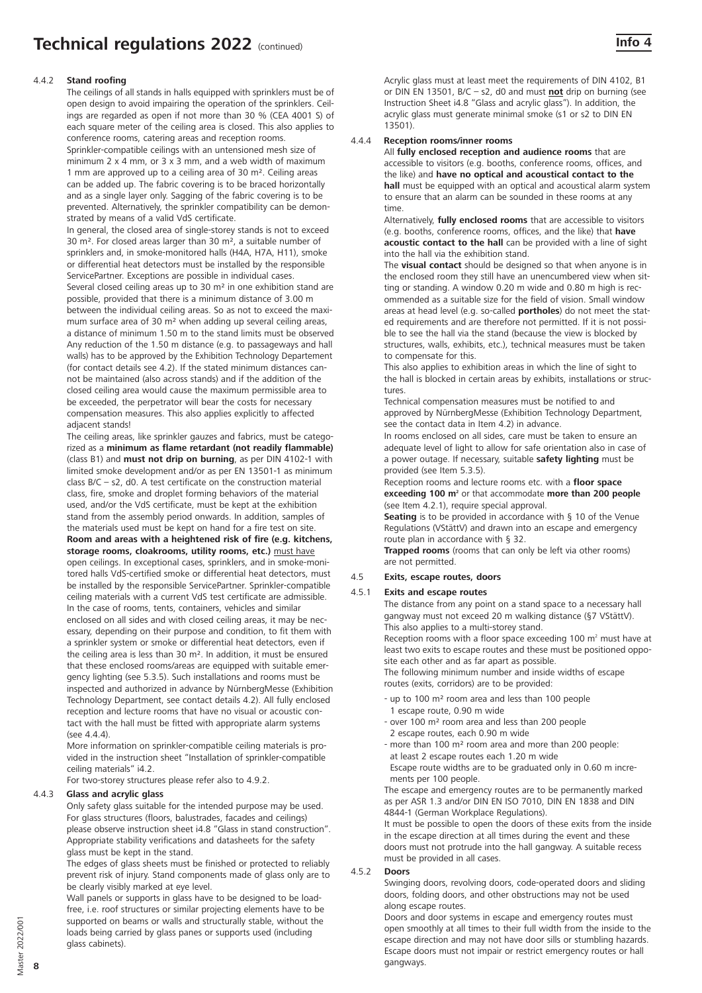#### 4.4.2 **Stand roofing**

The ceilings of all stands in halls equipped with sprinklers must be of open design to avoid impairing the operation of the sprinklers. Ceilings are regarded as open if not more than 30 % (CEA 4001 S) of each square meter of the ceiling area is closed. This also applies to conference rooms, catering areas and reception rooms. Sprinkler-compatible ceilings with an untensioned mesh size of minimum 2 x 4 mm, or 3 x 3 mm, and a web width of maximum 1 mm are approved up to a ceiling area of 30 m². Ceiling areas can be added up. The fabric covering is to be braced horizontally and as a single layer only. Sagging of the fabric covering is to be prevented. Alternatively, the sprinkler compatibility can be demonstrated by means of a valid VdS certificate.

In general, the closed area of single-storey stands is not to exceed 30 m². For closed areas larger than 30 m², a suitable number of sprinklers and, in smoke-monitored halls (H4A, H7A, H11), smoke or differential heat detectors must be installed by the responsible ServicePartner. Exceptions are possible in individual cases. Several closed ceiling areas up to 30 m² in one exhibition stand are possible, provided that there is a minimum distance of 3.00 m between the individual ceiling areas. So as not to exceed the maximum surface area of 30 m² when adding up several ceiling areas, a distance of minimum 1.50 m to the stand limits must be observed Any reduction of the 1.50 m distance (e.g. to passageways and hall walls) has to be approved by the Exhibition Technology Departement (for contact details see 4.2). If the stated minimum distances cannot be maintained (also across stands) and if the addition of the closed ceiling area would cause the maximum permissible area to be exceeded, the perpetrator will bear the costs for necessary compensation measures. This also applies explicitly to affected adjacent stands!

The ceiling areas, like sprinkler gauzes and fabrics, must be categorized as a **minimum as flame retardant (not readily flammable)**  (class B1) and **must not drip on burning**, as per DIN 4102-1 with limited smoke development and/or as per EN 13501-1 as minimum class  $B/C - s2$ , d0. A test certificate on the construction material class, fire, smoke and droplet forming behaviors of the material used, and/or the VdS certificate, must be kept at the exhibition stand from the assembly period onwards. In addition, samples of the materials used must be kept on hand for a fire test on site. **Room and areas with a heightened risk of fire (e.g. kitchens, storage rooms, cloakrooms, utility rooms, etc.)** must have open ceilings. In exceptional cases, sprinklers, and in smoke-monitored halls VdS-certified smoke or differential heat detectors, must be installed by the responsible ServicePartner. Sprinkler-compatible ceiling materials with a current VdS test certificate are admissible. In the case of rooms, tents, containers, vehicles and similar enclosed on all sides and with closed ceiling areas, it may be necessary, depending on their purpose and condition, to fit them with a sprinkler system or smoke or differential heat detectors, even if the ceiling area is less than 30 m². In addition, it must be ensured that these enclosed rooms/areas are equipped with suitable emergency lighting (see 5.3.5). Such installations and rooms must be inspected and authorized in advance by NürnbergMesse (Exhibition Technology Department, see contact details 4.2). All fully enclosed reception and lecture rooms that have no visual or acoustic contact with the hall must be fitted with appropriate alarm systems (see 4.4.4).

More information on sprinkler-compatible ceiling materials is provided in the instruction sheet "Installation of sprinkler-compatible ceiling materials" i4.2.

For two-storey structures please refer also to 4.9.2.

#### 4.4.3 **Glass and acrylic glass**

Only safety glass suitable for the intended purpose may be used. For glass structures (floors, balustrades, facades and ceilings) please observe instruction sheet i4.8 "Glass in stand construction". Appropriate stability verifications and datasheets for the safety glass must be kept in the stand.

The edges of glass sheets must be finished or protected to reliably prevent risk of injury. Stand components made of glass only are to be clearly visibly marked at eye level.

Wall panels or supports in glass have to be designed to be loadfree, i.e. roof structures or similar projecting elements have to be supported on beams or walls and structurally stable, without the loads being carried by glass panes or supports used (including glass cabinets).

Acrylic glass must at least meet the requirements of DIN 4102, B1 or DIN EN 13501, B/C – s2, d0 and must **not** drip on burning (see Instruction Sheet i4.8 "Glass and acrylic glass"). In addition, the acrylic glass must generate minimal smoke (s1 or s2 to DIN EN 13501).

#### 4.4.4 **Reception rooms/inner rooms**

All **fully enclosed reception and audience rooms** that are accessible to visitors (e.g. booths, conference rooms, offices, and the like) and **have no optical and acoustical contact to the hall** must be equipped with an optical and acoustical alarm system to ensure that an alarm can be sounded in these rooms at any time.

Alternatively, **fully enclosed rooms** that are accessible to visitors (e.g. booths, conference rooms, offices, and the like) that **have acoustic contact to the hall** can be provided with a line of sight into the hall via the exhibition stand.

The **visual contact** should be designed so that when anyone is in the enclosed room they still have an unencumbered view when sitting or standing. A window 0.20 m wide and 0.80 m high is recommended as a suitable size for the field of vision. Small window areas at head level (e.g. so-called **portholes**) do not meet the stated requirements and are therefore not permitted. If it is not possible to see the hall via the stand (because the view is blocked by structures, walls, exhibits, etc.), technical measures must be taken to compensate for this.

This also applies to exhibition areas in which the line of sight to the hall is blocked in certain areas by exhibits, installations or structures.

Technical compensation measures must be notified to and approved by NürnbergMesse (Exhibition Technology Department, see the contact data in Item 4.2) in advance.

In rooms enclosed on all sides, care must be taken to ensure an adequate level of light to allow for safe orientation also in case of a power outage. If necessary, suitable **safety lighting** must be provided (see Item 5.3.5).

Reception rooms and lecture rooms etc. with a **floor space exceeding 100 m2** or that accommodate **more than 200 people** (see Item 4.2.1), require special approval.

**Seating** is to be provided in accordance with § 10 of the Venue Regulations (VStättV) and drawn into an escape and emergency route plan in accordance with § 32.

**Trapped rooms** (rooms that can only be left via other rooms) are not permitted.

#### 4.5 **Exits, escape routes, doors**

# 4.5.1 **Exits and escape routes**

The distance from any point on a stand space to a necessary hall gangway must not exceed 20 m walking distance (§7 VStättV). This also applies to a multi-storey stand.

Reception rooms with a floor space exceeding 100 m<sup>2</sup> must have at least two exits to escape routes and these must be positioned opposite each other and as far apart as possible.

The following minimum number and inside widths of escape routes (exits, corridors) are to be provided:

- up to 100 m² room area and less than 100 people 1 escape route, 0.90 m wide
- over 100 m² room area and less than 200 people 2 escape routes, each 0.90 m wide
- more than 100 m² room area and more than 200 people: at least 2 escape routes each 1.20 m wide

Escape route widths are to be graduated only in 0.60 m increments per 100 people.

The escape and emergency routes are to be permanently marked as per ASR 1.3 and/or DIN EN ISO 7010, DIN EN 1838 and DIN 4844-1 (German Workplace Regulations).

It must be possible to open the doors of these exits from the inside in the escape direction at all times during the event and these doors must not protrude into the hall gangway. A suitable recess must be provided in all cases.

#### 4.5.2 **Doors**

Swinging doors, revolving doors, code-operated doors and sliding doors, folding doors, and other obstructions may not be used along escape routes.

Doors and door systems in escape and emergency routes must open smoothly at all times to their full width from the inside to the escape direction and may not have door sills or stumbling hazards. Escape doors must not impair or restrict emergency routes or hall gangways.

**8**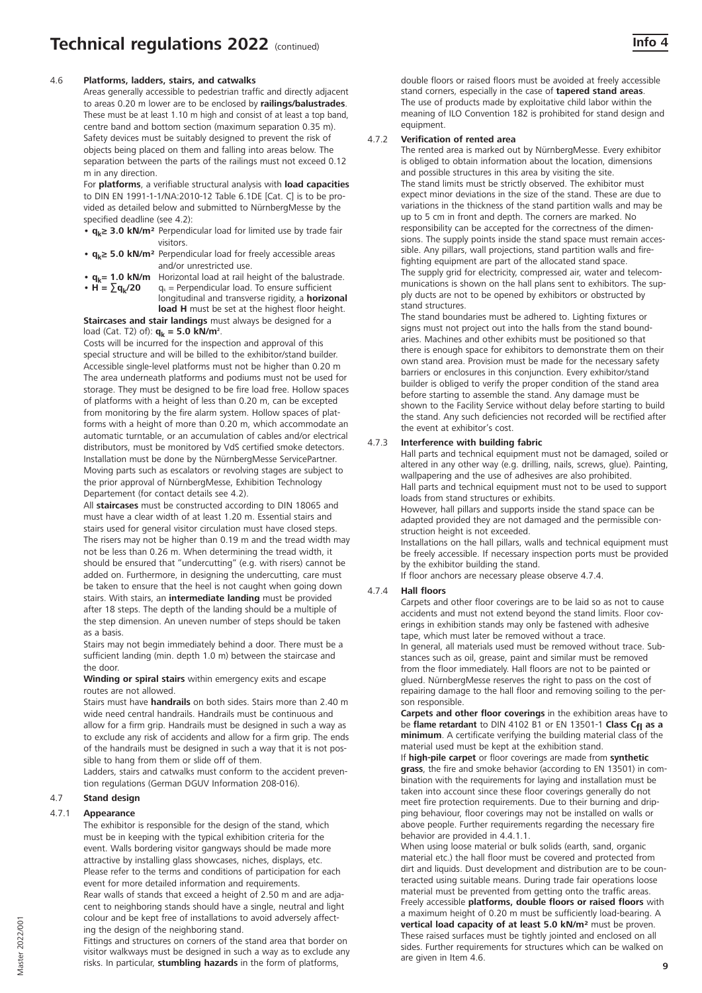#### 4.6 **Platforms, ladders, stairs, and catwalks**

Areas generally accessible to pedestrian traffic and directly adjacent to areas 0.20 m lower are to be enclosed by **railings/balustrades**. These must be at least 1.10 m high and consist of at least a top band, centre band and bottom section (maximum separation 0.35 m). Safety devices must be suitably designed to prevent the risk of objects being placed on them and falling into areas below. The separation between the parts of the railings must not exceed 0.12 m in any direction.

For **platforms**, a verifiable structural analysis with **load capacities**  to DIN EN 1991-1-1/NA:2010-12 Table 6.1DE [Cat. C] is to be provided as detailed below and submitted to NürnbergMesse by the specified deadline (see 4.2):

- **qk≥ 3.0 kN/m²** Perpendicular load for limited use by trade fair visitors.
- **qk≥ 5.0 kN/m²** Perpendicular load for freely accessible areas and/or unrestricted use.
- $q_k = 1.0 \text{ kN/m}$  Horizontal load at rail height of the balustrade.<br>•  $H = \sum q_k/20$   $q_k =$  Perpendicular load. To ensure sufficient  $q_k$  = Perpendicular load. To ensure sufficient longitudinal and transverse rigidity, a **horizonal load H** must be set at the highest floor height.

**Staircases and stair landings** must always be designed for a

load (Cat. T2) of): **q<sub>k</sub> = 5.0 kN/m<sup>2</sup>.** 

Costs will be incurred for the inspection and approval of this special structure and will be billed to the exhibitor/stand builder. Accessible single-level platforms must not be higher than 0.20 m The area underneath platforms and podiums must not be used for storage. They must be designed to be fire load free. Hollow spaces of platforms with a height of less than 0.20 m, can be excepted from monitoring by the fire alarm system. Hollow spaces of platforms with a height of more than 0.20 m, which accommodate an automatic turntable, or an accumulation of cables and/or electrical distributors, must be monitored by VdS certified smoke detectors. Installation must be done by the NürnbergMesse ServicePartner. Moving parts such as escalators or revolving stages are subject to the prior approval of NürnbergMesse, Exhibition Technology Departement (for contact details see 4.2).

All **staircases** must be constructed according to DIN 18065 and must have a clear width of at least 1.20 m. Essential stairs and stairs used for general visitor circulation must have closed steps. The risers may not be higher than 0.19 m and the tread width may not be less than 0.26 m. When determining the tread width, it should be ensured that "undercutting" (e.g. with risers) cannot be added on. Furthermore, in designing the undercutting, care must be taken to ensure that the heel is not caught when going down stairs. With stairs, an **intermediate landing** must be provided after 18 steps. The depth of the landing should be a multiple of the step dimension. An uneven number of steps should be taken as a basis.

Stairs may not begin immediately behind a door. There must be a sufficient landing (min. depth 1.0 m) between the staircase and the door.

#### **Winding or spiral stairs** within emergency exits and escape routes are not allowed.

Stairs must have **handrails** on both sides. Stairs more than 2.40 m wide need central handrails. Handrails must be continuous and allow for a firm grip. Handrails must be designed in such a way as to exclude any risk of accidents and allow for a firm grip. The ends of the handrails must be designed in such a way that it is not possible to hang from them or slide off of them.

Ladders, stairs and catwalks must conform to the accident prevention regulations (German DGUV Information 208-016).

# 4.7 **Stand design**

#### 4.7.1 **Appearance**

The exhibitor is responsible for the design of the stand, which must be in keeping with the typical exhibition criteria for the event. Walls bordering visitor gangways should be made more attractive by installing glass showcases, niches, displays, etc. Please refer to the terms and conditions of participation for each event for more detailed information and requirements.

Rear walls of stands that exceed a height of 2.50 m and are adjacent to neighboring stands should have a single, neutral and light colour and be kept free of installations to avoid adversely affecting the design of the neighboring stand.

Fittings and structures on corners of the stand area that border on visitor walkways must be designed in such a way as to exclude any risks. In particular, **stumbling hazards** in the form of platforms,

double floors or raised floors must be avoided at freely accessible stand corners, especially in the case of **tapered stand areas**. The use of products made by exploitative child labor within the meaning of ILO Convention 182 is prohibited for stand design and equipment.

# 4.7.2 **Verification of rented area**

The rented area is marked out by NürnbergMesse. Every exhibitor is obliged to obtain information about the location, dimensions and possible structures in this area by visiting the site. The stand limits must be strictly observed. The exhibitor must expect minor deviations in the size of the stand. These are due to variations in the thickness of the stand partition walls and may be up to 5 cm in front and depth. The corners are marked. No responsibility can be accepted for the correctness of the dimensions. The supply points inside the stand space must remain accessible. Any pillars, wall projections, stand partition walls and firefighting equipment are part of the allocated stand space. The supply grid for electricity, compressed air, water and telecommunications is shown on the hall plans sent to exhibitors. The supply ducts are not to be opened by exhibitors or obstructed by stand structures.

The stand boundaries must be adhered to. Lighting fixtures or signs must not project out into the halls from the stand boundaries. Machines and other exhibits must be positioned so that there is enough space for exhibitors to demonstrate them on their own stand area. Provision must be made for the necessary safety barriers or enclosures in this conjunction. Every exhibitor/stand builder is obliged to verify the proper condition of the stand area before starting to assemble the stand. Any damage must be shown to the Facility Service without delay before starting to build the stand. Any such deficiencies not recorded will be rectified after the event at exhibitor's cost.

#### 4.7.3 **Interference with building fabric**

Hall parts and technical equipment must not be damaged, soiled or altered in any other way (e.g. drilling, nails, screws, glue). Painting, wallpapering and the use of adhesives are also prohibited. Hall parts and technical equipment must not to be used to support loads from stand structures or exhibits.

However, hall pillars and supports inside the stand space can be adapted provided they are not damaged and the permissible construction height is not exceeded.

Installations on the hall pillars, walls and technical equipment must be freely accessible. If necessary inspection ports must be provided by the exhibitor building the stand.

If floor anchors are necessary please observe 4.7.4.

#### 4.7.4 **Hall floors**

Carpets and other floor coverings are to be laid so as not to cause accidents and must not extend beyond the stand limits. Floor coverings in exhibition stands may only be fastened with adhesive tape, which must later be removed without a trace.

In general, all materials used must be removed without trace. Substances such as oil, grease, paint and similar must be removed from the floor immediately. Hall floors are not to be painted or glued. NürnbergMesse reserves the right to pass on the cost of repairing damage to the hall floor and removing soiling to the person responsible.

**Carpets and other floor coverings** in the exhibition areas have to be **flame retardant** to DIN 4102 B1 or EN 13501-1 Class C<sub>fl</sub> as a **minimum**. A certificate verifying the building material class of the material used must be kept at the exhibition stand.

If **high-pile carpet** or floor coverings are made from **synthetic grass**, the fire and smoke behavior (according to EN 13501) in combination with the requirements for laying and installation must be taken into account since these floor coverings generally do not meet fire protection requirements. Due to their burning and dripping behaviour, floor coverings may not be installed on walls or above people. Further requirements regarding the necessary fire behavior are provided in 4.4.1.1.

When using loose material or bulk solids (earth, sand, organic material etc.) the hall floor must be covered and protected from dirt and liquids. Dust development and distribution are to be counteracted using suitable means. During trade fair operations loose material must be prevented from getting onto the traffic areas. Freely accessible **platforms, double floors or raised floors** with a maximum height of 0.20 m must be sufficiently load-bearing. A **vertical load capacity of at least 5.0 kN/m²** must be proven. These raised surfaces must be tightly jointed and enclosed on all sides. Further requirements for structures which can be walked on are given in Item 4.6.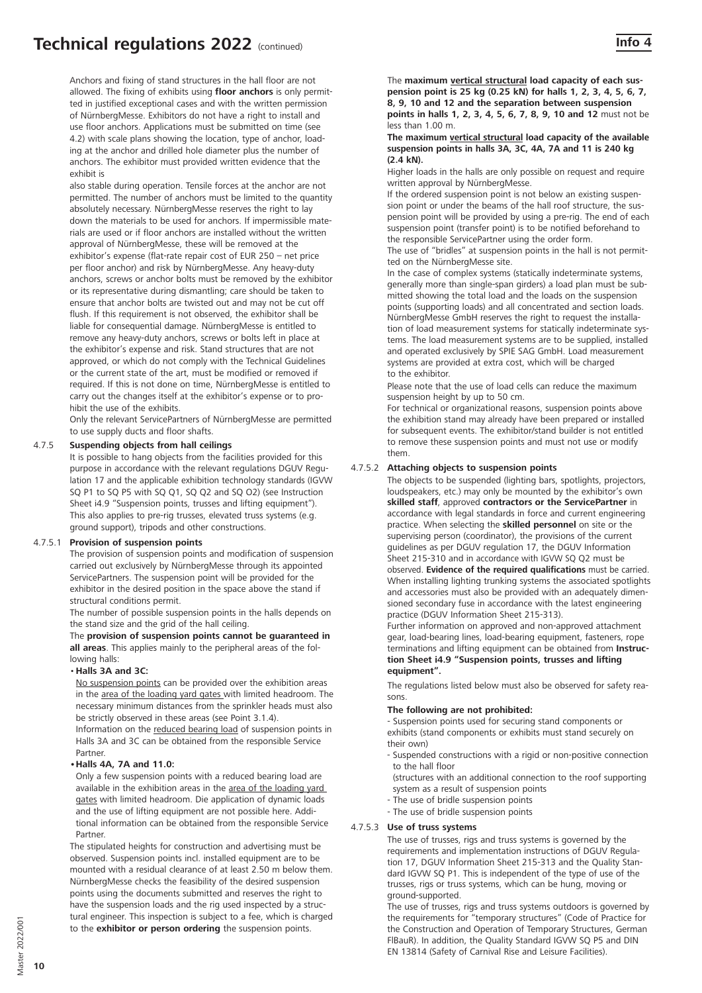# **Technical regulations 2022** (continued) **Info 4 Info 4**

Anchors and fixing of stand structures in the hall floor are not allowed. The fixing of exhibits using **floor anchors** is only permitted in justified exceptional cases and with the written permission of NürnbergMesse. Exhibitors do not have a right to install and use floor anchors. Applications must be submitted on time (see 4.2) with scale plans showing the location, type of anchor, loading at the anchor and drilled hole diameter plus the number of anchors. The exhibitor must provided written evidence that the exhibit is

also stable during operation. Tensile forces at the anchor are not permitted. The number of anchors must be limited to the quantity absolutely necessary. NürnbergMesse reserves the right to lay down the materials to be used for anchors. If impermissible materials are used or if floor anchors are installed without the written approval of NürnbergMesse, these will be removed at the exhibitor's expense (flat-rate repair cost of EUR 250 – net price per floor anchor) and risk by NürnbergMesse. Any heavy-duty anchors, screws or anchor bolts must be removed by the exhibitor or its representative during dismantling; care should be taken to ensure that anchor bolts are twisted out and may not be cut off flush. If this requirement is not observed, the exhibitor shall be liable for consequential damage. NürnbergMesse is entitled to remove any heavy-duty anchors, screws or bolts left in place at the exhibitor's expense and risk. Stand structures that are not approved, or which do not comply with the Technical Guidelines or the current state of the art, must be modified or removed if required. If this is not done on time, NürnbergMesse is entitled to carry out the changes itself at the exhibitor's expense or to prohibit the use of the exhibits.

Only the relevant ServicePartners of NürnbergMesse are permitted to use supply ducts and floor shafts.

#### 4.7.5 **Suspending objects from hall ceilings**

It is possible to hang objects from the facilities provided for this purpose in accordance with the relevant regulations DGUV Regulation 17 and the applicable exhibition technology standards (IGVW SQ P1 to SQ P5 with SQ Q1, SQ Q2 and SQ O2) (see Instruction Sheet i4.9 "Suspension points, trusses and lifting equipment"). This also applies to pre-rig trusses, elevated truss systems (e.g. ground support), tripods and other constructions.

#### 4.7.5.1 **Provision of suspension points**

The provision of suspension points and modification of suspension carried out exclusively by NürnbergMesse through its appointed ServicePartners. The suspension point will be provided for the exhibitor in the desired position in the space above the stand if structural conditions permit.

The number of possible suspension points in the halls depends on the stand size and the grid of the hall ceiling.

The **provision of suspension points cannot be guaranteed in all areas**. This applies mainly to the peripheral areas of the following halls:

#### •**Halls 3A and 3C:**

No suspension points can be provided over the exhibition areas in the area of the loading yard gates with limited headroom. The necessary minimum distances from the sprinkler heads must also be strictly observed in these areas (see Point 3.1.4).

Information on the reduced bearing load of suspension points in Halls 3A and 3C can be obtained from the responsible Service Partner.

#### **•Halls 4A, 7A and 11.0:**

Only a few suspension points with a reduced bearing load are available in the exhibition areas in the area of the loading yard gates with limited headroom. Die application of dynamic loads and the use of lifting equipment are not possible here. Additional information can be obtained from the responsible Service Partner.

 The stipulated heights for construction and advertising must be observed. Suspension points incl. installed equipment are to be mounted with a residual clearance of at least 2.50 m below them. NürnbergMesse checks the feasibility of the desired suspension points using the documents submitted and reserves the right to have the suspension loads and the rig used inspected by a structural engineer. This inspection is subject to a fee, which is charged to the **exhibitor or person ordering** the suspension points.

The **maximum vertical structural load capacity of each suspension point is 25 kg (0.25 kN) for halls 1, 2, 3, 4, 5, 6, 7, 8, 9, 10 and 12 and the separation between suspension points in halls 1, 2, 3, 4, 5, 6, 7, 8, 9, 10 and 12** must not be less than 1.00 m.

#### **The maximum vertical structural load capacity of the available suspension points in halls 3A, 3C, 4A, 7A and 11 is 240 kg (2.4 kN).**

Higher loads in the halls are only possible on request and require written approval by NürnbergMesse.

If the ordered suspension point is not below an existing suspension point or under the beams of the hall roof structure, the suspension point will be provided by using a pre-rig. The end of each suspension point (transfer point) is to be notified beforehand to the responsible ServicePartner using the order form.

The use of "bridles" at suspension points in the hall is not permitted on the NürnbergMesse site.

In the case of complex systems (statically indeterminate systems, generally more than single-span girders) a load plan must be submitted showing the total load and the loads on the suspension points (supporting loads) and all concentrated and section loads. NürnbergMesse GmbH reserves the right to request the installation of load measurement systems for statically indeterminate systems. The load measurement systems are to be supplied, installed and operated exclusively by SPIE SAG GmbH. Load measurement systems are provided at extra cost, which will be charged to the exhibitor.

Please note that the use of load cells can reduce the maximum suspension height by up to 50 cm.

For technical or organizational reasons, suspension points above the exhibition stand may already have been prepared or installed for subsequent events. The exhibitor/stand builder is not entitled to remove these suspension points and must not use or modify them.

#### 4.7.5.2 **Attaching objects to suspension points**

The objects to be suspended (lighting bars, spotlights, projectors, loudspeakers, etc.) may only be mounted by the exhibitor's own **skilled staff**, approved **contractors or the ServicePartner** in accordance with legal standards in force and current engineering practice. When selecting the **skilled personnel** on site or the supervising person (coordinator), the provisions of the current guidelines as per DGUV regulation 17, the DGUV Information Sheet 215-310 and in accordance with IGVW SQ Q2 must be

observed. **Evidence of the required qualifications** must be carried. When installing lighting trunking systems the associated spotlights and accessories must also be provided with an adequately dimensioned secondary fuse in accordance with the latest engineering practice (DGUV Information Sheet 215-313).

Further information on approved and non-approved attachment gear, load-bearing lines, load-bearing equipment, fasteners, rope terminations and lifting equipment can be obtained from **Instruction Sheet i4.9 "Suspension points, trusses and lifting equipment".**

The regulations listed below must also be observed for safety reasons.

#### **The following are not prohibited:**

- Suspension points used for securing stand components or exhibits (stand components or exhibits must stand securely on their own)

- Suspended constructions with a rigid or non-positive connection to the hall floor
- (structures with an additional connection to the roof supporting system as a result of suspension points
- The use of bridle suspension points
- The use of bridle suspension points

#### 4.7.5.3 **Use of truss systems**

The use of trusses, rigs and truss systems is governed by the requirements and implementation instructions of DGUV Regulation 17, DGUV Information Sheet 215-313 and the Quality Standard IGVW SQ P1. This is independent of the type of use of the trusses, rigs or truss systems, which can be hung, moving or ground-supported.

The use of trusses, rigs and truss systems outdoors is governed by the requirements for "temporary structures" (Code of Practice for the Construction and Operation of Temporary Structures, German FlBauR). In addition, the Quality Standard IGVW SQ P5 and DIN EN 13814 (Safety of Carnival Rise and Leisure Facilities).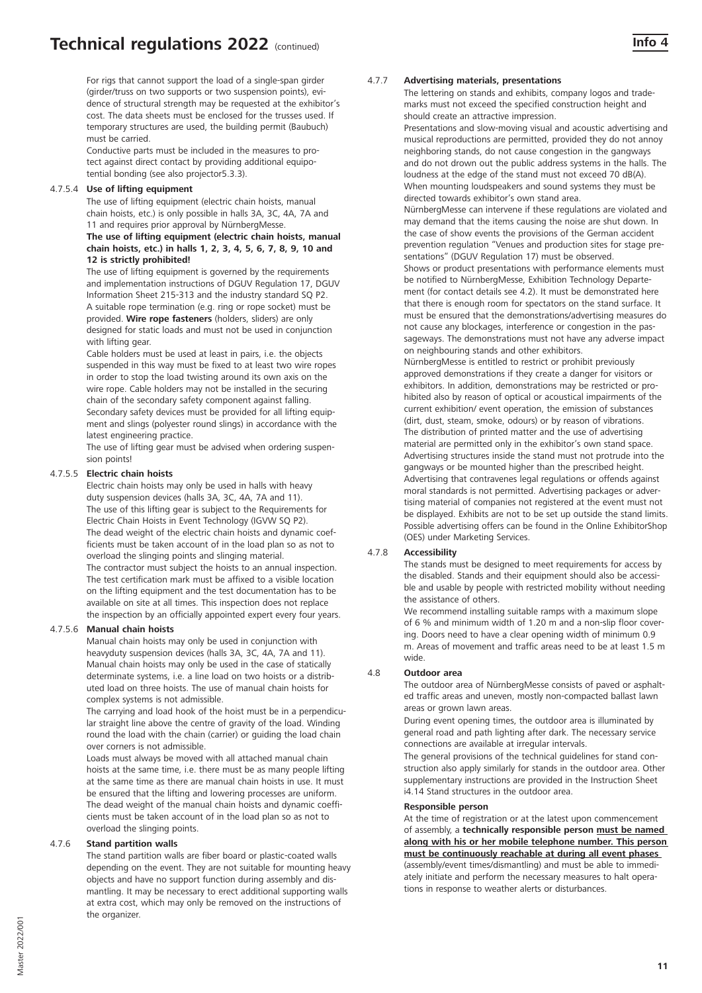For rigs that cannot support the load of a single-span girder (girder/truss on two supports or two suspension points), evidence of structural strength may be requested at the exhibitor's cost. The data sheets must be enclosed for the trusses used. If temporary structures are used, the building permit (Baubuch) must be carried.

Conductive parts must be included in the measures to protect against direct contact by providing additional equipotential bonding (see also projector5.3.3).

# 4.7.5.4 **Use of lifting equipment**

The use of lifting equipment (electric chain hoists, manual chain hoists, etc.) is only possible in halls 3A, 3C, 4A, 7A and 11 and requires prior approval by NürnbergMesse. **The use of lifting equipment (electric chain hoists, manual chain hoists, etc.) in halls 1, 2, 3, 4, 5, 6, 7, 8, 9, 10 and 12 is strictly prohibited!**

The use of lifting equipment is governed by the requirements and implementation instructions of DGUV Regulation 17, DGUV Information Sheet 215-313 and the industry standard SQ P2. A suitable rope termination (e.g. ring or rope socket) must be provided. **Wire rope fasteners** (holders, sliders) are only designed for static loads and must not be used in conjunction with lifting gear.

Cable holders must be used at least in pairs, i.e. the objects suspended in this way must be fixed to at least two wire ropes in order to stop the load twisting around its own axis on the wire rope. Cable holders may not be installed in the securing chain of the secondary safety component against falling. Secondary safety devices must be provided for all lifting equipment and slings (polyester round slings) in accordance with the latest engineering practice.

The use of lifting gear must be advised when ordering suspension points!

# 4.7.5.5 **Electric chain hoists**

Electric chain hoists may only be used in halls with heavy duty suspension devices (halls 3A, 3C, 4A, 7A and 11). The use of this lifting gear is subject to the Requirements for Electric Chain Hoists in Event Technology (IGVW SQ P2). The dead weight of the electric chain hoists and dynamic coefficients must be taken account of in the load plan so as not to overload the slinging points and slinging material. The contractor must subject the hoists to an annual inspection. The test certification mark must be affixed to a visible location on the lifting equipment and the test documentation has to be available on site at all times. This inspection does not replace

the inspection by an officially appointed expert every four years.

# 4.7.5.6 **Manual chain hoists**

Manual chain hoists may only be used in conjunction with heavyduty suspension devices (halls 3A, 3C, 4A, 7A and 11). Manual chain hoists may only be used in the case of statically determinate systems, i.e. a line load on two hoists or a distributed load on three hoists. The use of manual chain hoists for complex systems is not admissible.

The carrying and load hook of the hoist must be in a perpendicular straight line above the centre of gravity of the load. Winding round the load with the chain (carrier) or guiding the load chain over corners is not admissible.

Loads must always be moved with all attached manual chain hoists at the same time, i.e. there must be as many people lifting at the same time as there are manual chain hoists in use. It must be ensured that the lifting and lowering processes are uniform. The dead weight of the manual chain hoists and dynamic coefficients must be taken account of in the load plan so as not to overload the slinging points.

#### 4.7.6 **Stand partition walls**

The stand partition walls are fiber board or plastic-coated walls depending on the event. They are not suitable for mounting heavy objects and have no support function during assembly and dismantling. It may be necessary to erect additional supporting walls at extra cost, which may only be removed on the instructions of the organizer.

#### 4.7.7 **Advertising materials, presentations**

The lettering on stands and exhibits, company logos and trademarks must not exceed the specified construction height and should create an attractive impression.

Presentations and slow-moving visual and acoustic advertising and musical reproductions are permitted, provided they do not annoy neighboring stands, do not cause congestion in the gangways and do not drown out the public address systems in the halls. The loudness at the edge of the stand must not exceed 70 dB(A). When mounting loudspeakers and sound systems they must be directed towards exhibitor's own stand area. NürnbergMesse can intervene if these regulations are violated and may demand that the items causing the noise are shut down. In the case of show events the provisions of the German accident prevention regulation "Venues and production sites for stage presentations" (DGUV Regulation 17) must be observed. Shows or product presentations with performance elements must be notified to NürnbergMesse, Exhibition Technology Departement (for contact details see 4.2). It must be demonstrated here that there is enough room for spectators on the stand surface. It must be ensured that the demonstrations/advertising measures do not cause any blockages, interference or congestion in the passageways. The demonstrations must not have any adverse impact on neighbouring stands and other exhibitors. NürnbergMesse is entitled to restrict or prohibit previously approved demonstrations if they create a danger for visitors or exhibitors. In addition, demonstrations may be restricted or pro-

hibited also by reason of optical or acoustical impairments of the current exhibition/ event operation, the emission of substances (dirt, dust, steam, smoke, odours) or by reason of vibrations. The distribution of printed matter and the use of advertising material are permitted only in the exhibitor's own stand space. Advertising structures inside the stand must not protrude into the gangways or be mounted higher than the prescribed height. Advertising that contravenes legal regulations or offends against moral standards is not permitted. Advertising packages or advertising material of companies not registered at the event must not be displayed. Exhibits are not to be set up outside the stand limits. Possible advertising offers can be found in the Online ExhibitorShop (OES) under Marketing Services.

#### 4.7.8 **Accessibility**

The stands must be designed to meet requirements for access by the disabled. Stands and their equipment should also be accessible and usable by people with restricted mobility without needing the assistance of others.

We recommend installing suitable ramps with a maximum slope of 6 % and minimum width of 1.20 m and a non-slip floor covering. Doors need to have a clear opening width of minimum 0.9 m. Areas of movement and traffic areas need to be at least 1.5 m wide.

#### 4.8 **Outdoor area**

The outdoor area of NürnbergMesse consists of paved or asphalted traffic areas and uneven, mostly non-compacted ballast lawn areas or grown lawn areas.

During event opening times, the outdoor area is illuminated by general road and path lighting after dark. The necessary service connections are available at irregular intervals.

The general provisions of the technical guidelines for stand construction also apply similarly for stands in the outdoor area. Other supplementary instructions are provided in the Instruction Sheet i4.14 Stand structures in the outdoor area.

#### **Responsible person**

At the time of registration or at the latest upon commencement of assembly, a **technically responsible person must be named along with his or her mobile telephone number. This person must be continuously reachable at during all event phases** (assembly/event times/dismantling) and must be able to immediately initiate and perform the necessary measures to halt operations in response to weather alerts or disturbances.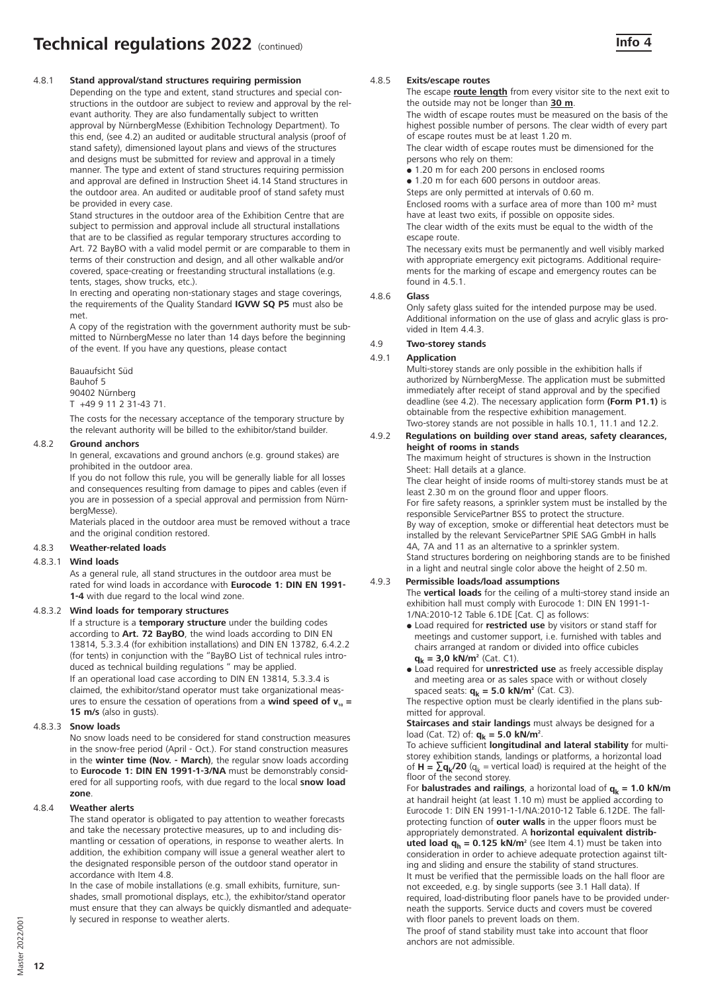#### 4.8.1 **Stand approval/stand structures requiring permission**

Depending on the type and extent, stand structures and special constructions in the outdoor are subject to review and approval by the relevant authority. They are also fundamentally subject to written approval by NürnbergMesse (Exhibition Technology Department). To this end, (see 4.2) an audited or auditable structural analysis (proof of stand safety), dimensioned layout plans and views of the structures and designs must be submitted for review and approval in a timely manner. The type and extent of stand structures requiring permission and approval are defined in Instruction Sheet i4.14 Stand structures in the outdoor area. An audited or auditable proof of stand safety must be provided in every case.

Stand structures in the outdoor area of the Exhibition Centre that are subject to permission and approval include all structural installations that are to be classified as regular temporary structures according to Art. 72 BayBO with a valid model permit or are comparable to them in terms of their construction and design, and all other walkable and/or covered, space-creating or freestanding structural installations (e.g. tents, stages, show trucks, etc.).

In erecting and operating non-stationary stages and stage coverings, the requirements of the Quality Standard **IGVW SQ P5** must also be met.

A copy of the registration with the government authority must be submitted to NürnbergMesse no later than 14 days before the beginning of the event. If you have any questions, please contact

Bauaufsicht Süd Bauhof 5 90402 Nürnberg T +49 9 11 2 31-43 71.

 The costs for the necessary acceptance of the temporary structure by the relevant authority will be billed to the exhibitor/stand builder.

# 4.8.2 **Ground anchors**

In general, excavations and ground anchors (e.g. ground stakes) are prohibited in the outdoor area.

If you do not follow this rule, you will be generally liable for all losses and consequences resulting from damage to pipes and cables (even if you are in possession of a special approval and permission from NürnbergMesse).

Materials placed in the outdoor area must be removed without a trace and the original condition restored.

# 4.8.3 **Weather-related loads**

#### 4.8.3.1 **Wind loads**

As a general rule, all stand structures in the outdoor area must be rated for wind loads in accordance with **Eurocode 1: DIN EN 1991- 1-4** with due regard to the local wind zone.

# 4.8.3.2 **Wind loads for temporary structures**

If a structure is a **temporary structure** under the building codes according to **Art. 72 BayBO**, the wind loads according to DIN EN 13814, 5.3.3.4 (for exhibition installations) and DIN EN 13782, 6.4.2.2 (for tents) in conjunction with the "BayBO List of technical rules introduced as technical building regulations " may be applied. If an operational load case according to DIN EN 13814, 5.3.3.4 is claimed, the exhibitor/stand operator must take organizational measures to ensure the cessation of operations from a **wind speed of**  $v_{10} =$ **15 m/s** (also in gusts).

#### 4.8.3.3 **Snow loads**

No snow loads need to be considered for stand construction measures in the snow-free period (April - Oct.). For stand construction measures in the **winter time (Nov. - March)**, the regular snow loads according to **Eurocode 1: DIN EN 1991-1-3/NA** must be demonstrably considered for all supporting roofs, with due regard to the local **snow load zone**.

#### 4.8.4 **Weather alerts**

The stand operator is obligated to pay attention to weather forecasts and take the necessary protective measures, up to and including dismantling or cessation of operations, in response to weather alerts. In addition, the exhibition company will issue a general weather alert to the designated responsible person of the outdoor stand operator in accordance with Item 4.8.

In the case of mobile installations (e.g. small exhibits, furniture, sunshades, small promotional displays, etc.), the exhibitor/stand operator must ensure that they can always be quickly dismantled and adequately secured in response to weather alerts.

#### 4.8.5 **Exits/escape routes**

The escape **route length** from every visitor site to the next exit to the outside may not be longer than **30 m**.

The width of escape routes must be measured on the basis of the highest possible number of persons. The clear width of every part of escape routes must be at least 1.20 m.

The clear width of escape routes must be dimensioned for the persons who rely on them:

• 1.20 m for each 200 persons in enclosed rooms

 $\bullet$  1.20 m for each 600 persons in outdoor areas.

Steps are only permitted at intervals of 0.60 m.

Enclosed rooms with a surface area of more than 100 m² must have at least two exits, if possible on opposite sides.

The clear width of the exits must be equal to the width of the escape route.

The necessary exits must be permanently and well visibly marked with appropriate emergency exit pictograms. Additional requirements for the marking of escape and emergency routes can be found in 4.5.1.

#### 4.8.6 **Glass**

Only safety glass suited for the intended purpose may be used. Additional information on the use of glass and acrylic glass is provided in Item 4.4.3.

#### 4.9 **Two-storey stands**

#### 4.9.1 **Application**

Multi-storey stands are only possible in the exhibition halls if authorized by NürnbergMesse. The application must be submitted immediately after receipt of stand approval and by the specified deadline (see 4.2). The necessary application form **(Form P1.1)** is obtainable from the respective exhibition management. Two-storey stands are not possible in halls 10.1, 11.1 and 12.2.

#### 4.9.2 **Regulations on building over stand areas, safety clearances, height of rooms in stands**

The maximum height of structures is shown in the Instruction Sheet: Hall details at a glance.

The clear height of inside rooms of multi-storey stands must be at least 2.30 m on the ground floor and upper floors. For fire safety reasons, a sprinkler system must be installed by the responsible ServicePartner BSS to protect the structure. By way of exception, smoke or differential heat detectors must be installed by the relevant ServicePartner SPIE SAG GmbH in halls 4A, 7A and 11 as an alternative to a sprinkler system.

Stand structures bordering on neighboring stands are to be finished in a light and neutral single color above the height of 2.50 m.

# 4.9.3 **Permissible loads/load assumptions**

The **vertical loads** for the ceiling of a multi-storey stand inside an exhibition hall must comply with Eurocode 1: DIN EN 1991-1- 1/NA:2010-12 Table 6.1DE [Cat. C] as follows:

- Load required for **restricted use** by visitors or stand staff for meetings and customer support, i.e. furnished with tables and chairs arranged at random or divided into office cubicles  $q_k = 3.0$  kN/m<sup>2</sup> (Cat. C1).
- Load required for **unrestricted use** as freely accessible display and meeting area or as sales space with or without closely spaced seats:  $q_k = 5.0$  kN/m<sup>2</sup> (Cat. C3).

The respective option must be clearly identified in the plans submitted for approval.

**Staircases and stair landings** must always be designed for a load (Cat. T2) of: **q<sub>k</sub> = 5.0 kN/m<sup>2</sup>**.

To achieve sufficient **longitudinal and lateral stability** for multistorey exhibition stands, landings or platforms, a horizontal load of  $H = \sum q_k/20$  ( $q_k$  = vertical load) is required at the height of the floor of the second storey.

For **balustrades and railings**, a horizontal load of  $q_k = 1.0 \text{ kN/m}$ at handrail height (at least 1.10 m) must be applied according to Eurocode 1: DIN EN 1991-1-1/NA:2010-12 Table 6.12DE. The fallprotecting function of **outer walls** in the upper floors must be appropriately demonstrated. A **horizontal equivalent distrib-**

**uted load q<sub>h</sub> = 0.125 kN/m<sup>2</sup> (see Item 4.1) must be taken into** consideration in order to achieve adequate protection against tilting and sliding and ensure the stability of stand structures. It must be verified that the permissible loads on the hall floor are

not exceeded, e.g. by single supports (see 3.1 Hall data). If required, load-distributing floor panels have to be provided underneath the supports. Service ducts and covers must be covered with floor panels to prevent loads on them.

The proof of stand stability must take into account that floor anchors are not admissible.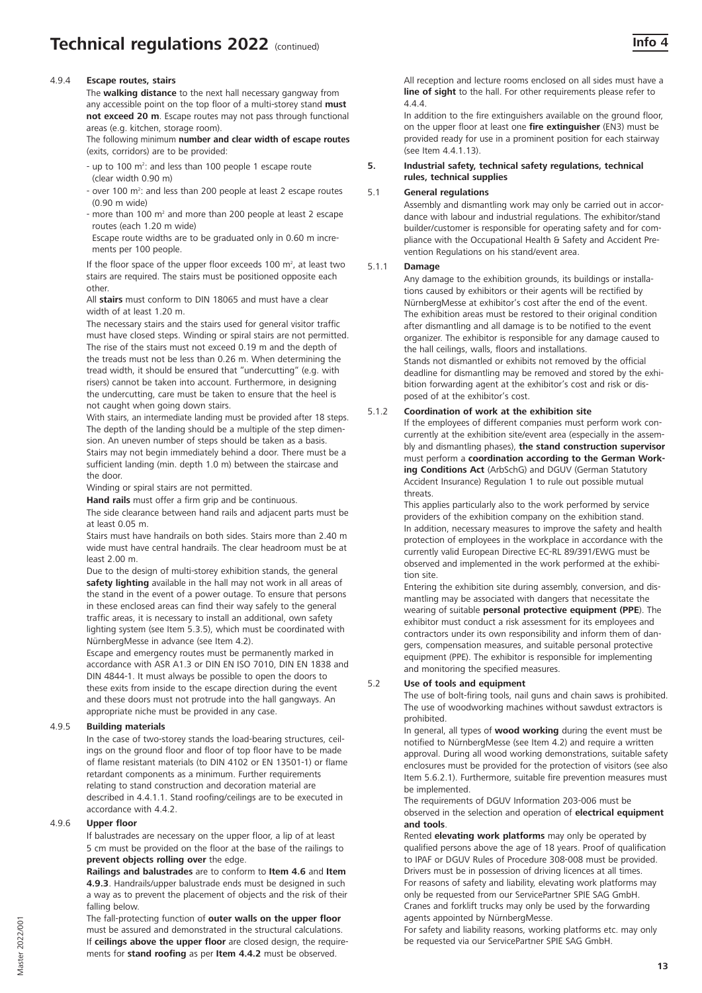# **Technical regulations 2022** (continued) **Info 4** and **Info 4** and **Info 4** and **Info 4** and **Info 4** and **Info 4** and **Info 4** and **Info 4** and **Info 4** and **Info 4** and **Info 4** and **Info 4** and **Info 4** and **Info 4** and

#### 4.9.4 **Escape routes, stairs**

The **walking distance** to the next hall necessary gangway from any accessible point on the top floor of a multi-storey stand **must not exceed 20 m**. Escape routes may not pass through functional areas (e.g. kitchen, storage room).

The following minimum **number and clear width of escape routes**  (exits, corridors) are to be provided:

- up to 100 m<sup>2</sup>: and less than 100 people 1 escape route (clear width 0.90 m)
- over 100  $m<sup>2</sup>$ : and less than 200 people at least 2 escape routes (0.90 m wide)
- more than 100 m<sup>2</sup> and more than 200 people at least 2 escape routes (each 1.20 m wide)
- Escape route widths are to be graduated only in 0.60 m increments per 100 people.

If the floor space of the upper floor exceeds 100  $m^2$ , at least two stairs are required. The stairs must be positioned opposite each other.

All **stairs** must conform to DIN 18065 and must have a clear width of at least 1.20 m.

The necessary stairs and the stairs used for general visitor traffic must have closed steps. Winding or spiral stairs are not permitted. The rise of the stairs must not exceed 0.19 m and the depth of the treads must not be less than 0.26 m. When determining the tread width, it should be ensured that "undercutting" (e.g. with risers) cannot be taken into account. Furthermore, in designing the undercutting, care must be taken to ensure that the heel is not caught when going down stairs.

With stairs, an intermediate landing must be provided after 18 steps. The depth of the landing should be a multiple of the step dimension. An uneven number of steps should be taken as a basis. Stairs may not begin immediately behind a door. There must be a sufficient landing (min. depth 1.0 m) between the staircase and the door.

Winding or spiral stairs are not permitted.

**Hand rails** must offer a firm grip and be continuous.

The side clearance between hand rails and adjacent parts must be at least 0.05 m.

Stairs must have handrails on both sides. Stairs more than 2.40 m wide must have central handrails. The clear headroom must be at least 2.00 m.

Due to the design of multi-storey exhibition stands, the general **safety lighting** available in the hall may not work in all areas of the stand in the event of a power outage. To ensure that persons in these enclosed areas can find their way safely to the general traffic areas, it is necessary to install an additional, own safety lighting system (see Item 5.3.5), which must be coordinated with NürnbergMesse in advance (see Item 4.2).

Escape and emergency routes must be permanently marked in accordance with ASR A1.3 or DIN EN ISO 7010, DIN EN 1838 and DIN 4844-1. It must always be possible to open the doors to these exits from inside to the escape direction during the event and these doors must not protrude into the hall gangways. An appropriate niche must be provided in any case.

#### 4.9.5 **Building materials**

In the case of two-storey stands the load-bearing structures, ceilings on the ground floor and floor of top floor have to be made of flame resistant materials (to DIN 4102 or EN 13501-1) or flame retardant components as a minimum. Further requirements relating to stand construction and decoration material are described in 4.4.1.1. Stand roofing/ceilings are to be executed in accordance with 4.4.2.

# 4.9.6 **Upper floor**

If balustrades are necessary on the upper floor, a lip of at least 5 cm must be provided on the floor at the base of the railings to **prevent objects rolling over** the edge.

**Railings and balustrades** are to conform to **Item 4.6** and **Item 4.9.3**. Handrails/upper balustrade ends must be designed in such a way as to prevent the placement of objects and the risk of their falling below.

The fall-protecting function of **outer walls on the upper floor**  must be assured and demonstrated in the structural calculations. If **ceilings above the upper floor** are closed design, the requirements for **stand roofing** as per **Item 4.4.2** must be observed.

All reception and lecture rooms enclosed on all sides must have a **line of sight** to the hall. For other requirements please refer to 4.4.4.

In addition to the fire extinguishers available on the ground floor, on the upper floor at least one **fire extinguisher** (EN3) must be provided ready for use in a prominent position for each stairway (see Item 4.4.1.13).

### **5. Industrial safety, technical safety regulations, technical rules, technical supplies**

#### 5.1 **General regulations**

Assembly and dismantling work may only be carried out in accordance with labour and industrial regulations. The exhibitor/stand builder/customer is responsible for operating safety and for compliance with the Occupational Health & Safety and Accident Prevention Regulations on his stand/event area.

#### 5.1.1 **Damage**

Any damage to the exhibition grounds, its buildings or installations caused by exhibitors or their agents will be rectified by NürnbergMesse at exhibitor's cost after the end of the event. The exhibition areas must be restored to their original condition after dismantling and all damage is to be notified to the event organizer. The exhibitor is responsible for any damage caused to the hall ceilings, walls, floors and installations. Stands not dismantled or exhibits not removed by the official deadline for dismantling may be removed and stored by the exhibition forwarding agent at the exhibitor's cost and risk or disposed of at the exhibitor's cost.

#### 5.1.2 **Coordination of work at the exhibition site**

If the employees of different companies must perform work concurrently at the exhibition site/event area (especially in the assembly and dismantling phases), **the stand construction supervisor** must perform a **coordination according to the German Working Conditions Act** (ArbSchG) and DGUV (German Statutory Accident Insurance) Regulation 1 to rule out possible mutual threats.

This applies particularly also to the work performed by service providers of the exhibition company on the exhibition stand. In addition, necessary measures to improve the safety and health protection of employees in the workplace in accordance with the currently valid European Directive EC-RL 89/391/EWG must be observed and implemented in the work performed at the exhibition site.

Entering the exhibition site during assembly, conversion, and dismantling may be associated with dangers that necessitate the wearing of suitable **personal protective equipment (PPE**). The exhibitor must conduct a risk assessment for its employees and contractors under its own responsibility and inform them of dangers, compensation measures, and suitable personal protective equipment (PPE). The exhibitor is responsible for implementing and monitoring the specified measures.

### 5.2 **Use of tools and equipment**

The use of bolt-firing tools, nail guns and chain saws is prohibited. The use of woodworking machines without sawdust extractors is prohibited.

In general, all types of **wood working** during the event must be notified to NürnbergMesse (see Item 4.2) and require a written approval. During all wood working demonstrations, suitable safety enclosures must be provided for the protection of visitors (see also Item 5.6.2.1). Furthermore, suitable fire prevention measures must be implemented.

The requirements of DGUV Information 203-006 must be observed in the selection and operation of **electrical equipment and tools**.

Rented **elevating work platforms** may only be operated by qualified persons above the age of 18 years. Proof of qualification to IPAF or DGUV Rules of Procedure 308-008 must be provided. Drivers must be in possession of driving licences at all times. For reasons of safety and liability, elevating work platforms may only be requested from our ServicePartner SPIE SAG GmbH. Cranes and forklift trucks may only be used by the forwarding agents appointed by NürnbergMesse.

For safety and liability reasons, working platforms etc. may only be requested via our ServicePartner SPIE SAG GmbH.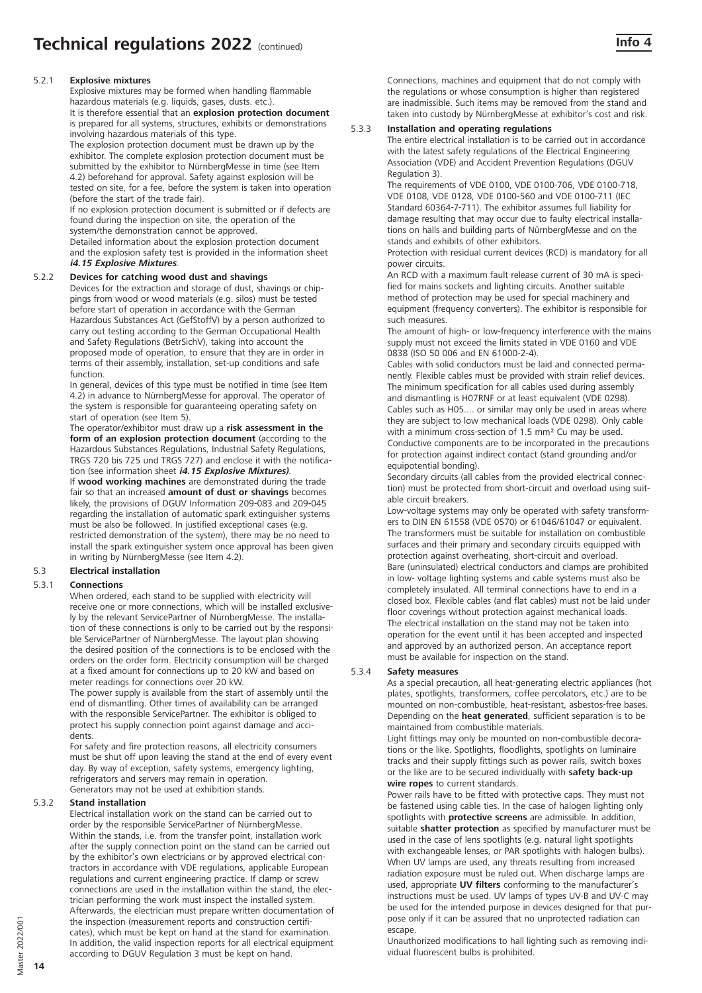# 5.2.1 **Explosive mixtures**

Explosive mixtures may be formed when handling flammable hazardous materials (e.g. liquids, gases, dusts. etc.). It is therefore essential that an **explosion protection document**  is prepared for all systems, structures, exhibits or demonstrations involving hazardous materials of this type.

 The explosion protection document must be drawn up by the exhibitor. The complete explosion protection document must be submitted by the exhibitor to NürnbergMesse in time (see Item 4.2) beforehand for approval. Safety against explosion will be tested on site, for a fee, before the system is taken into operation (before the start of the trade fair).

If no explosion protection document is submitted or if defects are found during the inspection on site, the operation of the system/the demonstration cannot be approved.

Detailed information about the explosion protection document and the explosion safety test is provided in the information sheet **i4.15 Explosive Mixtures**.

# 5.2.2 **Devices for catching wood dust and shavings**

Devices for the extraction and storage of dust, shavings or chippings from wood or wood materials (e.g. silos) must be tested before start of operation in accordance with the German Hazardous Substances Act (GefStoffV) by a person authorized to carry out testing according to the German Occupational Health and Safety Regulations (BetrSichV), taking into account the proposed mode of operation, to ensure that they are in order in terms of their assembly, installation, set-up conditions and safe function.

In general, devices of this type must be notified in time (see Item 4.2) in advance to NürnbergMesse for approval. The operator of the system is responsible for guaranteeing operating safety on start of operation (see Item 5).

The operator/exhibitor must draw up a **risk assessment in the form of an explosion protection document** (according to the Hazardous Substances Regulations, Industrial Safety Regulations, TRGS 720 bis 725 und TRGS 727) and enclose it with the notification (see information sheet **i4.15 Explosive Mixtures)**.

If **wood working machines** are demonstrated during the trade fair so that an increased **amount of dust or shavings** becomes likely, the provisions of DGUV Information 209-083 and 209-045 regarding the installation of automatic spark extinguisher systems must be also be followed. In justified exceptional cases (e.g. restricted demonstration of the system), there may be no need to install the spark extinguisher system once approval has been given in writing by NürnbergMesse (see Item 4.2).

#### 5.3 **Electrical installation**

#### 5.3.1 **Connections**

When ordered, each stand to be supplied with electricity will receive one or more connections, which will be installed exclusively by the relevant ServicePartner of NürnbergMesse. The installation of these connections is only to be carried out by the responsible ServicePartner of NürnbergMesse. The layout plan showing the desired position of the connections is to be enclosed with the orders on the order form. Electricity consumption will be charged at a fixed amount for connections up to 20 kW and based on meter readings for connections over 20 kW.

The power supply is available from the start of assembly until the end of dismantling. Other times of availability can be arranged with the responsible ServicePartner. The exhibitor is obliged to protect his supply connection point against damage and accidents.

For safety and fire protection reasons, all electricity consumers must be shut off upon leaving the stand at the end of every event day. By way of exception, safety systems, emergency lighting, refrigerators and servers may remain in operation. Generators may not be used at exhibition stands.

# 5.3.2 **Stand installation**

Electrical installation work on the stand can be carried out to order by the responsible ServicePartner of NürnbergMesse. Within the stands, i.e. from the transfer point, installation work after the supply connection point on the stand can be carried out by the exhibitor's own electricians or by approved electrical contractors in accordance with VDE regulations, applicable European regulations and current engineering practice. If clamp or screw connections are used in the installation within the stand, the electrician performing the work must inspect the installed system. Afterwards, the electrician must prepare written documentation of the inspection (measurement reports and construction certificates), which must be kept on hand at the stand for examination. In addition, the valid inspection reports for all electrical equipment according to DGUV Regulation 3 must be kept on hand.

Connections, machines and equipment that do not comply with the regulations or whose consumption is higher than registered are inadmissible. Such items may be removed from the stand and taken into custody by NürnbergMesse at exhibitor's cost and risk.

#### 5.3.3 **Installation and operating regulations**

The entire electrical installation is to be carried out in accordance with the latest safety regulations of the Electrical Engineering Association (VDE) and Accident Prevention Regulations (DGUV Regulation 3).

The requirements of VDE 0100, VDE 0100-706, VDE 0100-718, VDE 0108, VDE 0128, VDE 0100-560 and VDE 0100-711 (IEC Standard 60364-7-711). The exhibitor assumes full liability for damage resulting that may occur due to faulty electrical installations on halls and building parts of NürnbergMesse and on the stands and exhibits of other exhibitors.

Protection with residual current devices (RCD) is mandatory for all power circuits.

An RCD with a maximum fault release current of 30 mA is specified for mains sockets and lighting circuits. Another suitable method of protection may be used for special machinery and equipment (frequency converters). The exhibitor is responsible for such measures.

The amount of high- or low-frequency interference with the mains supply must not exceed the limits stated in VDE 0160 and VDE 0838 (ISO 50 006 and EN 61000-2-4).

Cables with solid conductors must be laid and connected permanently. Flexible cables must be provided with strain relief devices. The minimum specification for all cables used during assembly and dismantling is H07RNF or at least equivalent (VDE 0298). Cables such as H05.... or similar may only be used in areas where they are subject to low mechanical loads (VDE 0298). Only cable with a minimum cross-section of 1.5 mm<sup>2</sup> Cu may be used. Conductive components are to be incorporated in the precautions for protection against indirect contact (stand grounding and/or equipotential bonding).

Secondary circuits (all cables from the provided electrical connection) must be protected from short-circuit and overload using suitable circuit breakers.

Low-voltage systems may only be operated with safety transformers to DIN EN 61558 (VDE 0570) or 61046/61047 or equivalent. The transformers must be suitable for installation on combustible surfaces and their primary and secondary circuits equipped with protection against overheating, short-circuit and overload. Bare (uninsulated) electrical conductors and clamps are prohibited in low- voltage lighting systems and cable systems must also be completely insulated. All terminal connections have to end in a closed box. Flexible cables (and flat cables) must not be laid under floor coverings without protection against mechanical loads. The electrical installation on the stand may not be taken into operation for the event until it has been accepted and inspected and approved by an authorized person. An acceptance report must be available for inspection on the stand.

#### 5.3.4 **Safety measures**

As a special precaution, all heat-generating electric appliances (hot plates, spotlights, transformers, coffee percolators, etc.) are to be mounted on non-combustible, heat-resistant, asbestos-free bases. Depending on the **heat generated**, sufficient separation is to be maintained from combustible materials.

Light fittings may only be mounted on non-combustible decorations or the like. Spotlights, floodlights, spotlights on luminaire tracks and their supply fittings such as power rails, switch boxes or the like are to be secured individually with **safety back-up wire ropes** to current standards.

Power rails have to be fitted with protective caps. They must not be fastened using cable ties. In the case of halogen lighting only spotlights with **protective screens** are admissible. In addition, suitable **shatter protection** as specified by manufacturer must be used in the case of lens spotlights (e.g. natural light spotlights with exchangeable lenses, or PAR spotlights with halogen bulbs). When UV lamps are used, any threats resulting from increased radiation exposure must be ruled out. When discharge lamps are used, appropriate **UV filters** conforming to the manufacturer's instructions must be used. UV lamps of types UV-B and UV-C may be used for the intended purpose in devices designed for that purpose only if it can be assured that no unprotected radiation can escape.

Unauthorized modifications to hall lighting such as removing individual fluorescent bulbs is prohibited.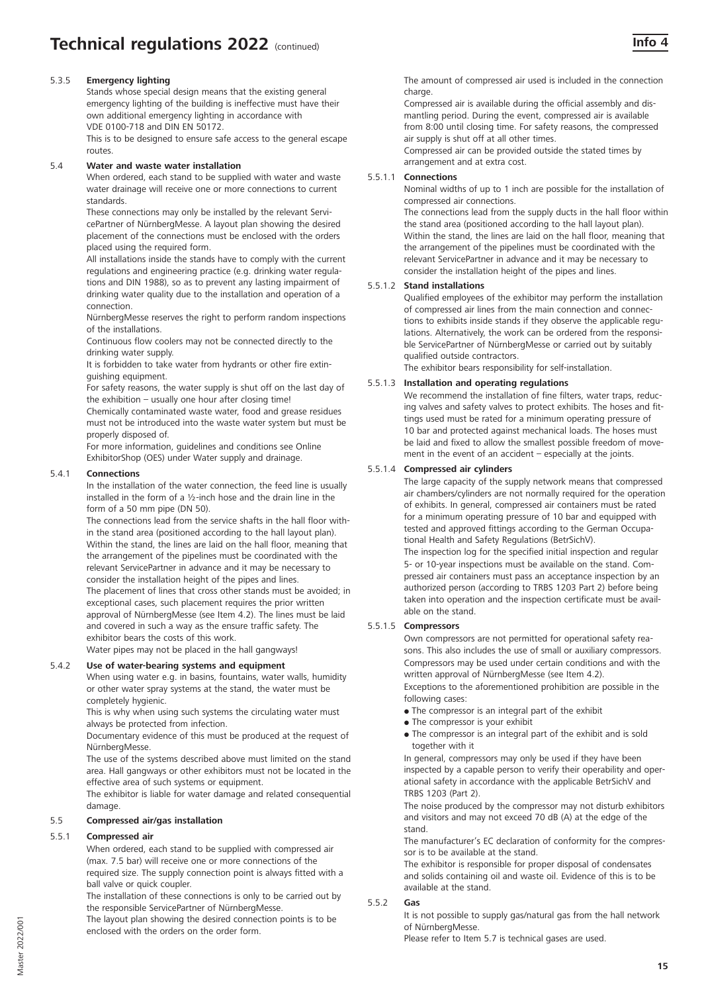# 5.3.5 **Emergency lighting**

Stands whose special design means that the existing general emergency lighting of the building is ineffective must have their own additional emergency lighting in accordance with VDE 0100-718 and DIN EN 50172.

This is to be designed to ensure safe access to the general escape routes.

#### 5.4 **Water and waste water installation**

When ordered, each stand to be supplied with water and waste water drainage will receive one or more connections to current standards.

These connections may only be installed by the relevant ServicePartner of NürnbergMesse. A layout plan showing the desired placement of the connections must be enclosed with the orders placed using the required form.

All installations inside the stands have to comply with the current regulations and engineering practice (e.g. drinking water regulations and DIN 1988), so as to prevent any lasting impairment of drinking water quality due to the installation and operation of a connection.

NürnbergMesse reserves the right to perform random inspections of the installations.

Continuous flow coolers may not be connected directly to the drinking water supply.

It is forbidden to take water from hydrants or other fire extinguishing equipment.

For safety reasons, the water supply is shut off on the last day of the exhibition – usually one hour after closing time!

Chemically contaminated waste water, food and grease residues must not be introduced into the waste water system but must be properly disposed of.

For more information, guidelines and conditions see Online ExhibitorShop (OES) under Water supply and drainage.

### 5.4.1 **Connections**

In the installation of the water connection, the feed line is usually installed in the form of a ½-inch hose and the drain line in the form of a 50 mm pipe (DN 50).

The connections lead from the service shafts in the hall floor within the stand area (positioned according to the hall layout plan). Within the stand, the lines are laid on the hall floor, meaning that the arrangement of the pipelines must be coordinated with the relevant ServicePartner in advance and it may be necessary to consider the installation height of the pipes and lines. The placement of lines that cross other stands must be avoided; in exceptional cases, such placement requires the prior written approval of NürnbergMesse (see Item 4.2). The lines must be laid and covered in such a way as the ensure traffic safety. The exhibitor bears the costs of this work.

Water pipes may not be placed in the hall gangways!

# 5.4.2 **Use of water-bearing systems and equipment**

When using water e.g. in basins, fountains, water walls, humidity or other water spray systems at the stand, the water must be completely hygienic.

This is why when using such systems the circulating water must always be protected from infection.

Documentary evidence of this must be produced at the request of NürnbergMesse.

The use of the systems described above must limited on the stand area. Hall gangways or other exhibitors must not be located in the effective area of such systems or equipment.

The exhibitor is liable for water damage and related consequential damage.

# 5.5 **Compressed air/gas installation**

# 5.5.1 **Compressed air**

When ordered, each stand to be supplied with compressed air (max. 7.5 bar) will receive one or more connections of the required size. The supply connection point is always fitted with a ball valve or quick coupler.

The installation of these connections is only to be carried out by the responsible ServicePartner of NürnbergMesse.

The layout plan showing the desired connection points is to be enclosed with the orders on the order form.

The amount of compressed air used is included in the connection charge

Compressed air is available during the official assembly and dismantling period. During the event, compressed air is available from 8:00 until closing time. For safety reasons, the compressed air supply is shut off at all other times.

Compressed air can be provided outside the stated times by arrangement and at extra cost.

#### 5.5.1.1 **Connections**

Nominal widths of up to 1 inch are possible for the installation of compressed air connections.

The connections lead from the supply ducts in the hall floor within the stand area (positioned according to the hall layout plan). Within the stand, the lines are laid on the hall floor, meaning that the arrangement of the pipelines must be coordinated with the relevant ServicePartner in advance and it may be necessary to consider the installation height of the pipes and lines.

#### 5.5.1.2 **Stand installations**

Qualified employees of the exhibitor may perform the installation of compressed air lines from the main connection and connections to exhibits inside stands if they observe the applicable regulations. Alternatively, the work can be ordered from the responsible ServicePartner of NürnbergMesse or carried out by suitably qualified outside contractors.

The exhibitor bears responsibility for self-installation.

### 5.5.1.3 **Installation and operating regulations**

We recommend the installation of fine filters, water traps, reducing valves and safety valves to protect exhibits. The hoses and fittings used must be rated for a minimum operating pressure of 10 bar and protected against mechanical loads. The hoses must be laid and fixed to allow the smallest possible freedom of movement in the event of an accident – especially at the joints.

#### 5.5.1.4 **Compressed air cylinders**

The large capacity of the supply network means that compressed air chambers/cylinders are not normally required for the operation of exhibits. In general, compressed air containers must be rated for a minimum operating pressure of 10 bar and equipped with tested and approved fittings according to the German Occupational Health and Safety Regulations (BetrSichV).

The inspection log for the specified initial inspection and regular 5- or 10-year inspections must be available on the stand. Compressed air containers must pass an acceptance inspection by an authorized person (according to TRBS 1203 Part 2) before being taken into operation and the inspection certificate must be available on the stand.

#### 5.5.1.5 **Compressors**

Own compressors are not permitted for operational safety reasons. This also includes the use of small or auxiliary compressors. Compressors may be used under certain conditions and with the written approval of NürnbergMesse (see Item 4.2).

Exceptions to the aforementioned prohibition are possible in the following cases:

- The compressor is an integral part of the exhibit
- The compressor is your exhibit
- The compressor is an integral part of the exhibit and is sold together with it

In general, compressors may only be used if they have been inspected by a capable person to verify their operability and operational safety in accordance with the applicable BetrSichV and TRBS 1203 (Part 2).

The noise produced by the compressor may not disturb exhibitors and visitors and may not exceed 70 dB (A) at the edge of the stand.

The manufacturer's EC declaration of conformity for the compressor is to be available at the stand.

The exhibitor is responsible for proper disposal of condensates and solids containing oil and waste oil. Evidence of this is to be available at the stand.

#### 5.5.2 **Gas**

It is not possible to supply gas/natural gas from the hall network of NürnbergMesse.

Please refer to Item 5.7 is technical gases are used.

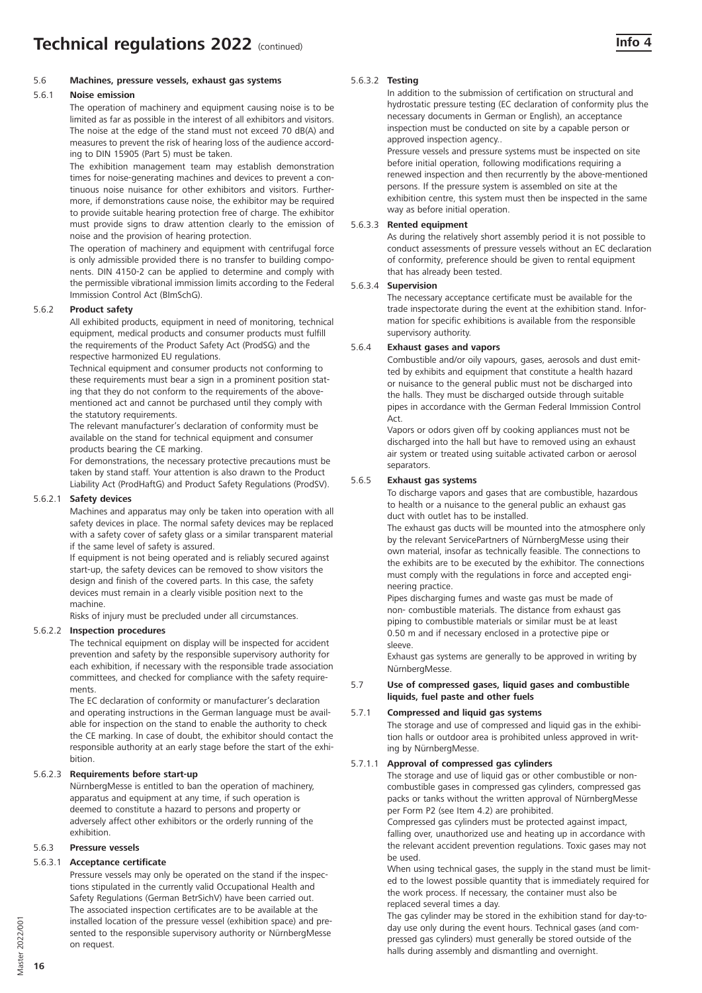#### 5.6 **Machines, pressure vessels, exhaust gas systems**

#### 5.6.1 **Noise emission**

The operation of machinery and equipment causing noise is to be limited as far as possible in the interest of all exhibitors and visitors. The noise at the edge of the stand must not exceed 70 dB(A) and measures to prevent the risk of hearing loss of the audience according to DIN 15905 (Part 5) must be taken.

The exhibition management team may establish demonstration times for noise-generating machines and devices to prevent a continuous noise nuisance for other exhibitors and visitors. Furthermore, if demonstrations cause noise, the exhibitor may be required to provide suitable hearing protection free of charge. The exhibitor must provide signs to draw attention clearly to the emission of noise and the provision of hearing protection.

The operation of machinery and equipment with centrifugal force is only admissible provided there is no transfer to building components. DIN 4150-2 can be applied to determine and comply with the permissible vibrational immission limits according to the Federal Immission Control Act (BImSchG).

#### 5.6.2 **Product safety**

All exhibited products, equipment in need of monitoring, technical equipment, medical products and consumer products must fulfill the requirements of the Product Safety Act (ProdSG) and the respective harmonized EU regulations.

Technical equipment and consumer products not conforming to these requirements must bear a sign in a prominent position stating that they do not conform to the requirements of the abovementioned act and cannot be purchased until they comply with the statutory requirements.

The relevant manufacturer's declaration of conformity must be available on the stand for technical equipment and consumer products bearing the CE marking.

For demonstrations, the necessary protective precautions must be taken by stand staff. Your attention is also drawn to the Product Liability Act (ProdHaftG) and Product Safety Regulations (ProdSV).

#### 5.6.2.1 **Safety devices**

Machines and apparatus may only be taken into operation with all safety devices in place. The normal safety devices may be replaced with a safety cover of safety glass or a similar transparent material if the same level of safety is assured.

If equipment is not being operated and is reliably secured against start-up, the safety devices can be removed to show visitors the design and finish of the covered parts. In this case, the safety devices must remain in a clearly visible position next to the machine.

Risks of injury must be precluded under all circumstances.

#### 5.6.2.2 **Inspection procedures**

The technical equipment on display will be inspected for accident prevention and safety by the responsible supervisory authority for each exhibition, if necessary with the responsible trade association committees, and checked for compliance with the safety requirements.

The EC declaration of conformity or manufacturer's declaration and operating instructions in the German language must be available for inspection on the stand to enable the authority to check the CE marking. In case of doubt, the exhibitor should contact the responsible authority at an early stage before the start of the exhibition.

#### 5.6.2.3 **Requirements before start-up**

NürnbergMesse is entitled to ban the operation of machinery, apparatus and equipment at any time, if such operation is deemed to constitute a hazard to persons and property or adversely affect other exhibitors or the orderly running of the exhibition.

#### 5.6.3 **Pressure vessels**

# 5.6.3.1 **Acceptance certificate**

Pressure vessels may only be operated on the stand if the inspections stipulated in the currently valid Occupational Health and Safety Regulations (German BetrSichV) have been carried out. The associated inspection certificates are to be available at the installed location of the pressure vessel (exhibition space) and presented to the responsible supervisory authority or NürnbergMesse on request.

#### 5.6.3.2 **Testing**

In addition to the submission of certification on structural and hydrostatic pressure testing (EC declaration of conformity plus the necessary documents in German or English), an acceptance inspection must be conducted on site by a capable person or approved inspection agency..

Pressure vessels and pressure systems must be inspected on site before initial operation, following modifications requiring a renewed inspection and then recurrently by the above-mentioned persons. If the pressure system is assembled on site at the exhibition centre, this system must then be inspected in the same way as before initial operation.

#### 5.6.3.3 **Rented equipment**

As during the relatively short assembly period it is not possible to conduct assessments of pressure vessels without an EC declaration of conformity, preference should be given to rental equipment that has already been tested.

#### 5.6.3.4 **Supervision**

The necessary acceptance certificate must be available for the trade inspectorate during the event at the exhibition stand. Information for specific exhibitions is available from the responsible supervisory authority.

#### 5.6.4 **Exhaust gases and vapors**

Combustible and/or oily vapours, gases, aerosols and dust emitted by exhibits and equipment that constitute a health hazard or nuisance to the general public must not be discharged into the halls. They must be discharged outside through suitable pipes in accordance with the German Federal Immission Control Act.

Vapors or odors given off by cooking appliances must not be discharged into the hall but have to removed using an exhaust air system or treated using suitable activated carbon or aerosol separators.

#### 5.6.5 **Exhaust gas systems**

To discharge vapors and gases that are combustible, hazardous to health or a nuisance to the general public an exhaust gas duct with outlet has to be installed.

The exhaust gas ducts will be mounted into the atmosphere only by the relevant ServicePartners of NürnbergMesse using their own material, insofar as technically feasible. The connections to the exhibits are to be executed by the exhibitor. The connections must comply with the regulations in force and accepted engineering practice.

Pipes discharging fumes and waste gas must be made of non- combustible materials. The distance from exhaust gas piping to combustible materials or similar must be at least 0.50 m and if necessary enclosed in a protective pipe or sleeve.

Exhaust gas systems are generally to be approved in writing by NürnbergMesse.

#### 5.7 **Use of compressed gases, liquid gases and combustible liquids, fuel paste and other fuels**

#### 5.7.1 **Compressed and liquid gas systems**

The storage and use of compressed and liquid gas in the exhibition halls or outdoor area is prohibited unless approved in writing by NürnbergMesse.

#### 5.7.1.1 **Approval of compressed gas cylinders**

The storage and use of liquid gas or other combustible or noncombustible gases in compressed gas cylinders, compressed gas packs or tanks without the written approval of NürnbergMesse per Form P2 (see Item 4.2) are prohibited.

Compressed gas cylinders must be protected against impact, falling over, unauthorized use and heating up in accordance with the relevant accident prevention regulations. Toxic gases may not be used.

When using technical gases, the supply in the stand must be limited to the lowest possible quantity that is immediately required for the work process. If necessary, the container must also be replaced several times a day.

The gas cylinder may be stored in the exhibition stand for day-today use only during the event hours. Technical gases (and compressed gas cylinders) must generally be stored outside of the halls during assembly and dismantling and overnight.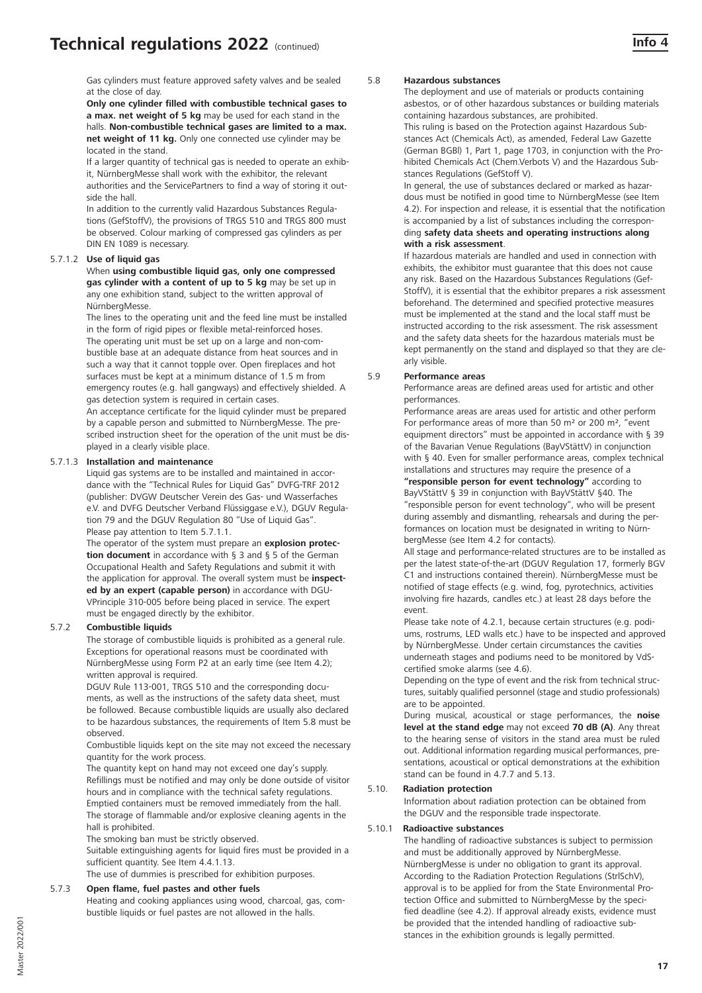Gas cylinders must feature approved safety valves and be sealed at the close of day.

**Only one cylinder filled with combustible technical gases to a max. net weight of 5 kg** may be used for each stand in the halls. **Non-combustible technical gases are limited to a max. net weight of 11 kg.** Only one connected use cylinder may be located in the stand.

If a larger quantity of technical gas is needed to operate an exhibit, NürnbergMesse shall work with the exhibitor, the relevant authorities and the ServicePartners to find a way of storing it outside the hall.

In addition to the currently valid Hazardous Substances Regulations (GefStoffV), the provisions of TRGS 510 and TRGS 800 must be observed. Colour marking of compressed gas cylinders as per DIN EN 1089 is necessary.

#### 5.7.1.2 **Use of liquid gas**

When **using combustible liquid gas, only one compressed gas cylinder with a content of up to 5 kg** may be set up in any one exhibition stand, subject to the written approval of NürnbergMesse.

The lines to the operating unit and the feed line must be installed in the form of rigid pipes or flexible metal-reinforced hoses. The operating unit must be set up on a large and non-combustible base at an adequate distance from heat sources and in such a way that it cannot topple over. Open fireplaces and hot surfaces must be kept at a minimum distance of 1.5 m from emergency routes (e.g. hall gangways) and effectively shielded. A gas detection system is required in certain cases.

An acceptance certificate for the liquid cylinder must be prepared by a capable person and submitted to NürnbergMesse. The prescribed instruction sheet for the operation of the unit must be displayed in a clearly visible place.

#### 5.7.1.3 **Installation and maintenance**

Liquid gas systems are to be installed and maintained in accordance with the "Technical Rules for Liquid Gas" DVFG-TRF 2012 (publisher: DVGW Deutscher Verein des Gas- und Wasserfaches e.V. and DVFG Deutscher Verband Flüssiggase e.V.), DGUV Regulation 79 and the DGUV Regulation 80 "Use of Liquid Gas". Please pay attention to Item 5.7.1.1.

The operator of the system must prepare an **explosion protection document** in accordance with § 3 and § 5 of the German Occupational Health and Safety Regulations and submit it with the application for approval. The overall system must be **inspected by an expert (capable person)** in accordance with DGU-VPrinciple 310-005 before being placed in service. The expert must be engaged directly by the exhibitor.

# 5.7.2 **Combustible liquids**

The storage of combustible liquids is prohibited as a general rule. Exceptions for operational reasons must be coordinated with NürnbergMesse using Form P2 at an early time (see Item 4.2); written approval is required.

DGUV Rule 113-001, TRGS 510 and the corresponding documents, as well as the instructions of the safety data sheet, must be followed. Because combustible liquids are usually also declared to be hazardous substances, the requirements of Item 5.8 must be observed.

Combustible liquids kept on the site may not exceed the necessary quantity for the work process.

The quantity kept on hand may not exceed one day's supply. Refillings must be notified and may only be done outside of visitor hours and in compliance with the technical safety regulations. Emptied containers must be removed immediately from the hall. The storage of flammable and/or explosive cleaning agents in the hall is prohibited.

The smoking ban must be strictly observed.

Suitable extinguishing agents for liquid fires must be provided in a sufficient quantity. See Item 4.4.1.13.

The use of dummies is prescribed for exhibition purposes.

#### 5.7.3 **Open flame, fuel pastes and other fuels**

Heating and cooking appliances using wood, charcoal, gas, combustible liquids or fuel pastes are not allowed in the halls.

#### 5.8 **Hazardous substances**

The deployment and use of materials or products containing asbestos, or of other hazardous substances or building materials containing hazardous substances, are prohibited.

This ruling is based on the Protection against Hazardous Substances Act (Chemicals Act), as amended, Federal Law Gazette (German BGBl) 1, Part 1, page 1703, in conjunction with the Prohibited Chemicals Act (Chem.Verbots V) and the Hazardous Substances Regulations (GefStoff V).

In general, the use of substances declared or marked as hazardous must be notified in good time to NürnbergMesse (see Item 4.2). For inspection and release, it is essential that the notification is accompanied by a list of substances including the correspon-

#### ding **safety data sheets and operating instructions along with a risk assessment**.

If hazardous materials are handled and used in connection with exhibits, the exhibitor must guarantee that this does not cause any risk. Based on the Hazardous Substances Regulations (Gef-StoffV), it is essential that the exhibitor prepares a risk assessment beforehand. The determined and specified protective measures must be implemented at the stand and the local staff must be instructed according to the risk assessment. The risk assessment and the safety data sheets for the hazardous materials must be kept permanently on the stand and displayed so that they are clearly visible.

#### 5.9 **Performance areas**

Performance areas are defined areas used for artistic and other performances.

Performance areas are areas used for artistic and other perform For performance areas of more than 50 m² or 200 m², "event equipment directors" must be appointed in accordance with § 39 of the Bavarian Venue Regulations (BayVStättV) in conjunction with § 40. Even for smaller performance areas, complex technical installations and structures may require the presence of a **"responsible person for event technology"** according to BayVStättV § 39 in conjunction with BayVStättV §40. The "responsible person for event technology", who will be present during assembly and dismantling, rehearsals and during the performances on location must be designated in writing to NürnbergMesse (see Item 4.2 for contacts).

All stage and performance-related structures are to be installed as per the latest state-of-the-art (DGUV Regulation 17, formerly BGV C1 and instructions contained therein). NürnbergMesse must be notified of stage effects (e.g. wind, fog, pyrotechnics, activities involving fire hazards, candles etc.) at least 28 days before the event.

Please take note of 4.2.1, because certain structures (e.g. podiums, rostrums, LED walls etc.) have to be inspected and approved by NürnbergMesse. Under certain circumstances the cavities underneath stages and podiums need to be monitored by VdScertified smoke alarms (see 4.6).

Depending on the type of event and the risk from technical structures, suitably qualified personnel (stage and studio professionals) are to be appointed.

During musical, acoustical or stage performances, the **noise level at the stand edge** may not exceed **70 dB (A)**. Any threat to the hearing sense of visitors in the stand area must be ruled out. Additional information regarding musical performances, presentations, acoustical or optical demonstrations at the exhibition stand can be found in 4.7.7 and 5.13.

# 5.10. **Radiation protection**

Information about radiation protection can be obtained from the DGUV and the responsible trade inspectorate.

#### 5.10.1 **Radioactive substances**

The handling of radioactive substances is subject to permission and must be additionally approved by NürnbergMesse. NürnbergMesse is under no obligation to grant its approval. According to the Radiation Protection Regulations (StrlSchV), approval is to be applied for from the State Environmental Protection Office and submitted to NürnbergMesse by the specified deadline (see 4.2). If approval already exists, evidence must be provided that the intended handling of radioactive substances in the exhibition grounds is legally permitted.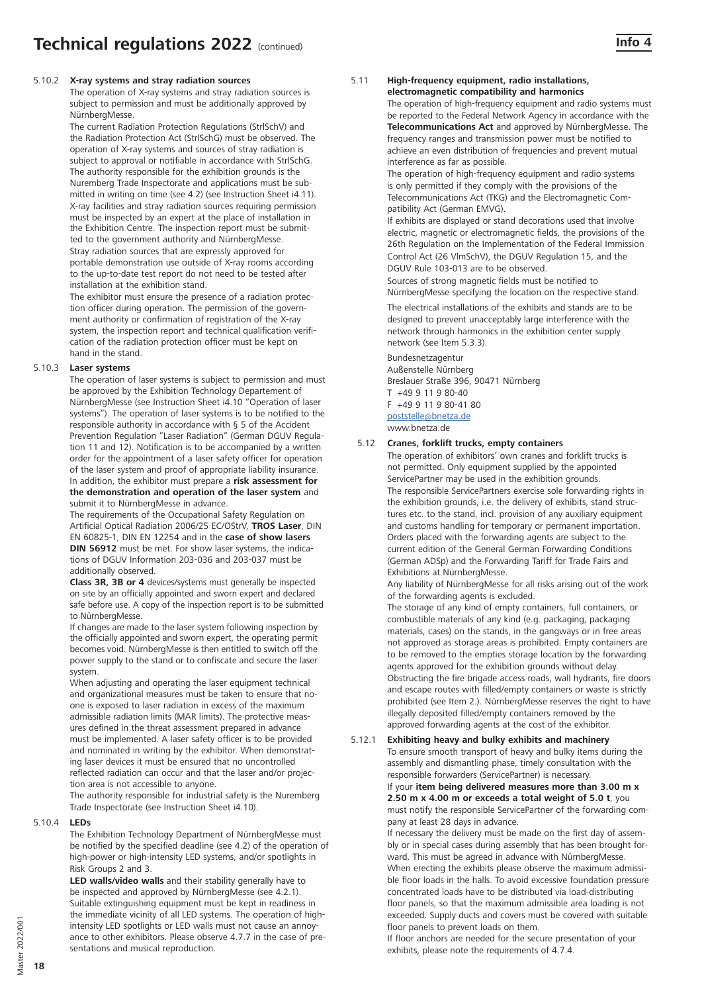# 5.10.2 **X-ray systems and stray radiation sources**

The operation of X-ray systems and stray radiation sources is subject to permission and must be additionally approved by NürnbergMesse.

The current Radiation Protection Regulations (StrlSchV) and the Radiation Protection Act (StrlSchG) must be observed. The operation of X-ray systems and sources of stray radiation is subject to approval or notifiable in accordance with StrlSchG. The authority responsible for the exhibition grounds is the Nuremberg Trade Inspectorate and applications must be submitted in writing on time (see 4.2) (see Instruction Sheet i4.11). X-ray facilities and stray radiation sources requiring permission must be inspected by an expert at the place of installation in the Exhibition Centre. The inspection report must be submitted to the government authority and NürnbergMesse. Stray radiation sources that are expressly approved for portable demonstration use outside of X-ray rooms according to the up-to-date test report do not need to be tested after installation at the exhibition stand.

The exhibitor must ensure the presence of a radiation protection officer during operation. The permission of the government authority or confirmation of registration of the X-ray system, the inspection report and technical qualification verification of the radiation protection officer must be kept on hand in the stand.

#### 5.10.3 **Laser systems**

The operation of laser systems is subject to permission and must be approved by the Exhibition Technology Departement of NürnbergMesse (see Instruction Sheet i4.10 "Operation of laser systems"). The operation of laser systems is to be notified to the responsible authority in accordance with § 5 of the Accident Prevention Regulation "Laser Radiation" (German DGUV Regulation 11 and 12). Notification is to be accompanied by a written order for the appointment of a laser safety officer for operation of the laser system and proof of appropriate liability insurance. In addition, the exhibitor must prepare a **risk assessment for the demonstration and operation of the laser system** and submit it to NürnbergMesse in advance.

The requirements of the Occupational Safety Regulation on Artificial Optical Radiation 2006/25 EC/OStrV, **TROS Laser**, DIN EN 60825-1, DIN EN 12254 and in the **case of show lasers DIN 56912** must be met. For show laser systems, the indications of DGUV Information 203-036 and 203-037 must be additionally observed.

**Class 3R, 3B or 4** devices/systems must generally be inspected on site by an officially appointed and sworn expert and declared safe before use. A copy of the inspection report is to be submitted to NürnbergMesse.

If changes are made to the laser system following inspection by the officially appointed and sworn expert, the operating permit becomes void. NürnbergMesse is then entitled to switch off the power supply to the stand or to confiscate and secure the laser system.

When adjusting and operating the laser equipment technical and organizational measures must be taken to ensure that noone is exposed to laser radiation in excess of the maximum admissible radiation limits (MAR limits). The protective measures defined in the threat assessment prepared in advance must be implemented. A laser safety officer is to be provided and nominated in writing by the exhibitor. When demonstrating laser devices it must be ensured that no uncontrolled reflected radiation can occur and that the laser and/or projection area is not accessible to anyone.

The authority responsible for industrial safety is the Nuremberg Trade Inspectorate (see Instruction Sheet i4.10).

#### 5.10.4 **LEDs**

The Exhibition Technology Department of NürnbergMesse must be notified by the specified deadline (see 4.2) of the operation of high-power or high-intensity LED systems, and/or spotlights in Risk Groups 2 and 3.

**LED walls/video walls** and their stability generally have to be inspected and approved by NürnbergMesse (see 4.2.1). Suitable extinguishing equipment must be kept in readiness in the immediate vicinity of all LED systems. The operation of highintensity LED spotlights or LED walls must not cause an annoyance to other exhibitors. Please observe 4.7.7 in the case of presentations and musical reproduction.

#### 5.11 **High-frequency equipment, radio installations, electromagnetic compatibility and harmonics**

The operation of high-frequency equipment and radio systems must be reported to the Federal Network Agency in accordance with the **Telecommunications Act** and approved by NürnbergMesse. The frequency ranges and transmission power must be notified to achieve an even distribution of frequencies and prevent mutual interference as far as possible.

The operation of high-frequency equipment and radio systems is only permitted if they comply with the provisions of the Telecommunications Act (TKG) and the Electromagnetic Compatibility Act (German EMVG).

If exhibits are displayed or stand decorations used that involve electric, magnetic or electromagnetic fields, the provisions of the 26th Regulation on the Implementation of the Federal Immission Control Act (26 VlmSchV), the DGUV Regulation 15, and the DGUV Rule 103-013 are to be observed.

Sources of strong magnetic fields must be notified to NürnbergMesse specifying the location on the respective stand.

The electrical installations of the exhibits and stands are to be designed to prevent unacceptably large interference with the network through harmonics in the exhibition center supply network (see Item 5.3.3).

### Bundesnetzagentur

Außenstelle Nürnberg Breslauer Straße 396, 90471 Nürnberg T +49 9 11 9 80-40 F +49 9 11 9 80-41 80 poststelle@bnetza.de

www.bnetza.de

# 5.12 **Cranes, forklift trucks, empty containers**

The operation of exhibitors' own cranes and forklift trucks is not permitted. Only equipment supplied by the appointed ServicePartner may be used in the exhibition grounds. The responsible ServicePartners exercise sole forwarding rights in the exhibition grounds, i.e. the delivery of exhibits, stand structures etc. to the stand, incl. provision of any auxiliary equipment and customs handling for temporary or permanent importation. Orders placed with the forwarding agents are subject to the current edition of the General German Forwarding Conditions (German ADSp) and the Forwarding Tariff for Trade Fairs and Exhibitions at NürnbergMesse.

Any liability of NürnbergMesse for all risks arising out of the work of the forwarding agents is excluded.

The storage of any kind of empty containers, full containers, or combustible materials of any kind (e.g. packaging, packaging materials, cases) on the stands, in the gangways or in free areas not approved as storage areas is prohibited. Empty containers are to be removed to the empties storage location by the forwarding agents approved for the exhibition grounds without delay. Obstructing the fire brigade access roads, wall hydrants, fire doors and escape routes with filled/empty containers or waste is strictly prohibited (see Item 2.). NürnbergMesse reserves the right to have illegally deposited filled/empty containers removed by the approved forwarding agents at the cost of the exhibitor.

# 5.12.1 **Exhibiting heavy and bulky exhibits and machinery**

To ensure smooth transport of heavy and bulky items during the assembly and dismantling phase, timely consultation with the responsible forwarders (ServicePartner) is necessary. If your **item being delivered measures more than 3.00 m x 2.50 m x 4.00 m or exceeds a total weight of 5.0 t**, you must notify the responsible ServicePartner of the forwarding company at least 28 days in advance.

If necessary the delivery must be made on the first day of assembly or in special cases during assembly that has been brought forward. This must be agreed in advance with NürnbergMesse. When erecting the exhibits please observe the maximum admissible floor loads in the halls. To avoid excessive foundation pressure concentrated loads have to be distributed via load-distributing floor panels, so that the maximum admissible area loading is not exceeded. Supply ducts and covers must be covered with suitable floor panels to prevent loads on them.

If floor anchors are needed for the secure presentation of your exhibits, please note the requirements of 4.7.4.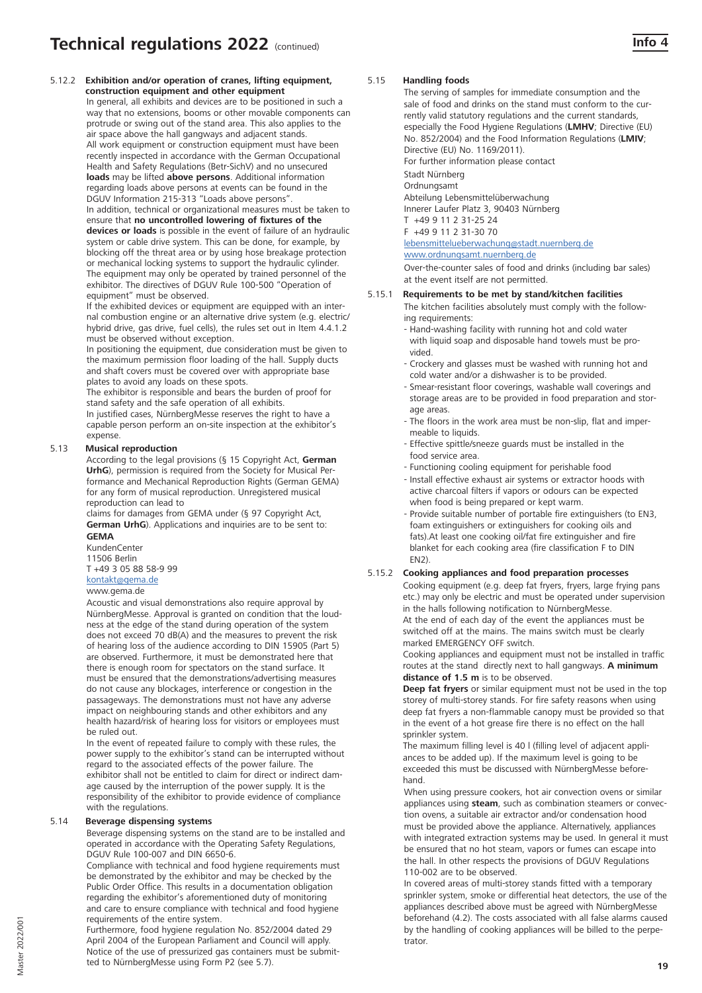5.12.2 **Exhibition and/or operation of cranes, lifting equipment, construction equipment and other equipment**  In general, all exhibits and devices are to be positioned in such a way that no extensions, booms or other movable components can protrude or swing out of the stand area. This also applies to the air space above the hall gangways and adjacent stands. All work equipment or construction equipment must have been recently inspected in accordance with the German Occupational Health and Safety Regulations (Betr-SichV) and no unsecured **loads** may be lifted **above persons**. Additional information regarding loads above persons at events can be found in the DGUV Information 215-313 "Loads above persons".

> In addition, technical or organizational measures must be taken to ensure that **no uncontrolled lowering of fixtures of the devices or loads** is possible in the event of failure of an hydraulic system or cable drive system. This can be done, for example, by blocking off the threat area or by using hose breakage protection or mechanical locking systems to support the hydraulic cylinder. The equipment may only be operated by trained personnel of the exhibitor. The directives of DGUV Rule 100-500 "Operation of equipment" must be observed.

> If the exhibited devices or equipment are equipped with an internal combustion engine or an alternative drive system (e.g. electric/ hybrid drive, gas drive, fuel cells), the rules set out in Item 4.4.1.2 must be observed without exception.

> In positioning the equipment, due consideration must be given to the maximum permission floor loading of the hall. Supply ducts and shaft covers must be covered over with appropriate base plates to avoid any loads on these spots.

The exhibitor is responsible and bears the burden of proof for stand safety and the safe operation of all exhibits.

In justified cases, NürnbergMesse reserves the right to have a capable person perform an on-site inspection at the exhibitor's expense.

#### 5.13 **Musical reproduction**

According to the legal provisions (§ 15 Copyright Act, **German UrhG**), permission is required from the Society for Musical Performance and Mechanical Reproduction Rights (German GEMA) for any form of musical reproduction. Unregistered musical reproduction can lead to

claims for damages from GEMA under (§ 97 Copyright Act, **German UrhG**). Applications and inquiries are to be sent to: **GEMA**

KundenCenter 11506 Berlin T +49 3 05 88 58-9 99

kontakt@gema.de

# www.gema.de

Acoustic and visual demonstrations also require approval by NürnbergMesse. Approval is granted on condition that the loudness at the edge of the stand during operation of the system does not exceed 70 dB(A) and the measures to prevent the risk of hearing loss of the audience according to DIN 15905 (Part 5) are observed. Furthermore, it must be demonstrated here that there is enough room for spectators on the stand surface. It must be ensured that the demonstrations/advertising measures do not cause any blockages, interference or congestion in the passageways. The demonstrations must not have any adverse impact on neighbouring stands and other exhibitors and any health hazard/risk of hearing loss for visitors or employees must be ruled out.

In the event of repeated failure to comply with these rules, the power supply to the exhibitor's stand can be interrupted without regard to the associated effects of the power failure. The exhibitor shall not be entitled to claim for direct or indirect damage caused by the interruption of the power supply. It is the responsibility of the exhibitor to provide evidence of compliance with the regulations.

# 5.14 **Beverage dispensing systems**

Beverage dispensing systems on the stand are to be installed and operated in accordance with the Operating Safety Regulations, DGUV Rule 100-007 and DIN 6650-6.

Compliance with technical and food hygiene requirements must be demonstrated by the exhibitor and may be checked by the Public Order Office. This results in a documentation obligation regarding the exhibitor's aforementioned duty of monitoring and care to ensure compliance with technical and food hygiene requirements of the entire system.

Furthermore, food hygiene regulation No. 852/2004 dated 29 April 2004 of the European Parliament and Council will apply. Notice of the use of pressurized gas containers must be submitted to NürnbergMesse using Form P2 (see 5.7).

#### 5.15 **Handling foods**

The serving of samples for immediate consumption and the sale of food and drinks on the stand must conform to the currently valid statutory regulations and the current standards, especially the Food Hygiene Regulations (**LMHV**; Directive (EU) No. 852/2004) and the Food Information Regulations (**LMIV**; Directive (EU) No. 1169/2011). For further information please contact

Stadt Nürnberg

Ordnungsamt Abteilung Lebensmittelüberwachung Innerer Laufer Platz 3, 90403 Nürnberg

T +49 9 11 2 31-25 24 F +49 9 11 2 31-30 70

# lebensmittelueberwachung@stadt.nuernberg.de

www.ordnungsamt.nuernberg.de

Over-the-counter sales of food and drinks (including bar sales) at the event itself are not permitted.

#### 5.15.1 **Requirements to be met by stand/kitchen facilities**

The kitchen facilities absolutely must comply with the following requirements:

- Hand-washing facility with running hot and cold water with liquid soap and disposable hand towels must be provided.
- Crockery and glasses must be washed with running hot and cold water and/or a dishwasher is to be provided.
- Smear-resistant floor coverings, washable wall coverings and storage areas are to be provided in food preparation and storage areas.
- The floors in the work area must be non-slip, flat and impermeable to liquids.
- Effective spittle/sneeze guards must be installed in the food service area.
- Functioning cooling equipment for perishable food
- Install effective exhaust air systems or extractor hoods with active charcoal filters if vapors or odours can be expected when food is being prepared or kept warm.
- Provide suitable number of portable fire extinguishers (to EN3, foam extinguishers or extinguishers for cooking oils and fats).At least one cooking oil/fat fire extinguisher and fire blanket for each cooking area (fire classification F to DIN EN2).

# 5.15.2 **Cooking appliances and food preparation processes**

Cooking equipment (e.g. deep fat fryers, fryers, large frying pans etc.) may only be electric and must be operated under supervision in the halls following notification to NürnbergMesse. At the end of each day of the event the appliances must be

switched off at the mains. The mains switch must be clearly marked EMERGENCY OFF switch.

Cooking appliances and equipment must not be installed in traffic routes at the stand directly next to hall gangways. **A minimum distance of 1.5 m** is to be observed.

**Deep fat fryers** or similar equipment must not be used in the top storey of multi-storey stands. For fire safety reasons when using deep fat fryers a non-flammable canopy must be provided so that in the event of a hot grease fire there is no effect on the hall sprinkler system.

The maximum filling level is 40 l (filling level of adjacent appliances to be added up). If the maximum level is going to be exceeded this must be discussed with NürnbergMesse beforehand.

When using pressure cookers, hot air convection ovens or similar appliances using **steam**, such as combination steamers or convection ovens, a suitable air extractor and/or condensation hood must be provided above the appliance. Alternatively, appliances with integrated extraction systems may be used. In general it must be ensured that no hot steam, vapors or fumes can escape into the hall. In other respects the provisions of DGUV Regulations 110-002 are to be observed.

In covered areas of multi-storey stands fitted with a temporary sprinkler system, smoke or differential heat detectors, the use of the appliances described above must be agreed with NürnbergMesse beforehand (4.2). The costs associated with all false alarms caused by the handling of cooking appliances will be billed to the perpetrator.